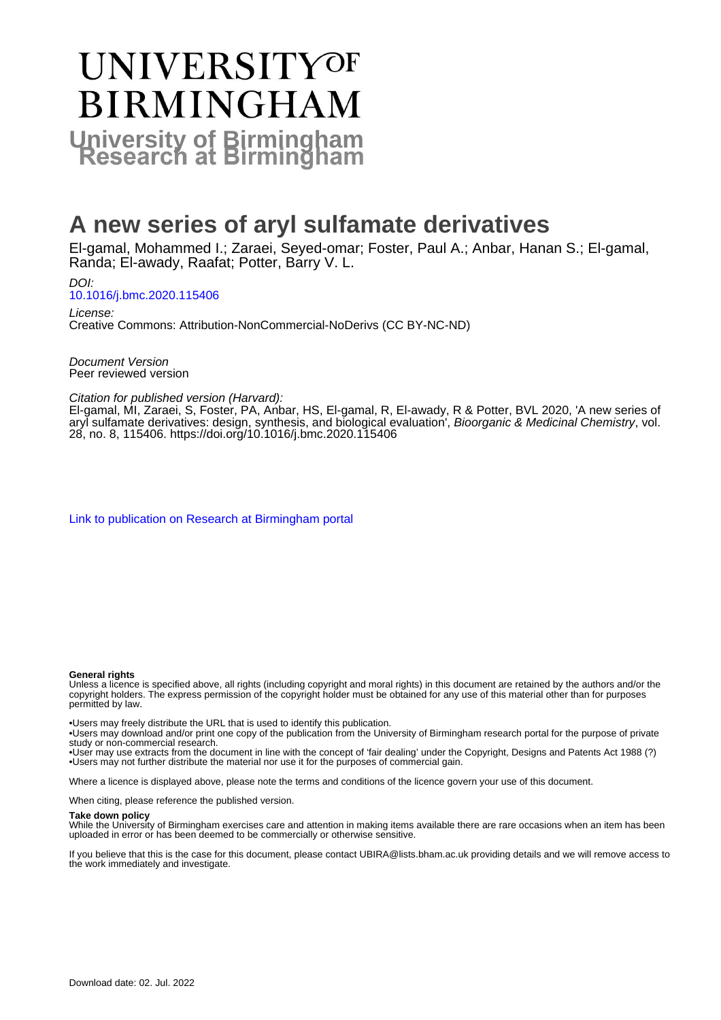# UNIVERSITYOF **BIRMINGHAM University of Birmingham**

# **A new series of aryl sulfamate derivatives**

El-gamal, Mohammed I.; Zaraei, Seyed-omar; Foster, Paul A.; Anbar, Hanan S.; El-gamal, Randa; El-awady, Raafat; Potter, Barry V. L.

DOI: [10.1016/j.bmc.2020.115406](https://doi.org/10.1016/j.bmc.2020.115406)

License: Creative Commons: Attribution-NonCommercial-NoDerivs (CC BY-NC-ND)

Document Version Peer reviewed version

Citation for published version (Harvard):

El-gamal, MI, Zaraei, S, Foster, PA, Anbar, HS, El-gamal, R, El-awady, R & Potter, BVL 2020, 'A new series of aryl sulfamate derivatives: design, synthesis, and biological evaluation', Bioorganic & Medicinal Chemistry, vol. 28, no. 8, 115406.<https://doi.org/10.1016/j.bmc.2020.115406>

[Link to publication on Research at Birmingham portal](https://birmingham.elsevierpure.com/en/publications/b7aa28cc-a85e-4126-809c-f4fde772bd78)

#### **General rights**

Unless a licence is specified above, all rights (including copyright and moral rights) in this document are retained by the authors and/or the copyright holders. The express permission of the copyright holder must be obtained for any use of this material other than for purposes permitted by law.

• Users may freely distribute the URL that is used to identify this publication.

• Users may download and/or print one copy of the publication from the University of Birmingham research portal for the purpose of private study or non-commercial research.

• User may use extracts from the document in line with the concept of 'fair dealing' under the Copyright, Designs and Patents Act 1988 (?) • Users may not further distribute the material nor use it for the purposes of commercial gain.

Where a licence is displayed above, please note the terms and conditions of the licence govern your use of this document.

When citing, please reference the published version.

#### **Take down policy**

While the University of Birmingham exercises care and attention in making items available there are rare occasions when an item has been uploaded in error or has been deemed to be commercially or otherwise sensitive.

If you believe that this is the case for this document, please contact UBIRA@lists.bham.ac.uk providing details and we will remove access to the work immediately and investigate.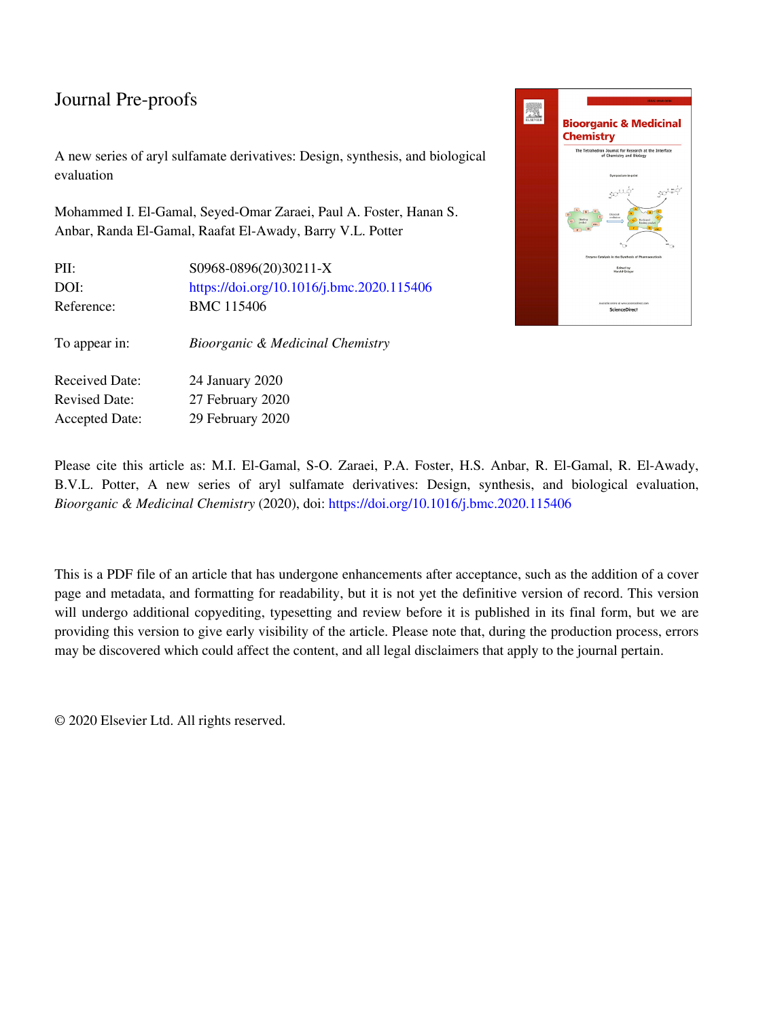## Journal Pre-proofs

A new series of aryl sulfamate derivatives: Design, synthesis, and biological evaluation

Mohammed I. El-Gamal, Seyed-Omar Zaraei, Paul A. Foster, Hanan S. Anbar, Randa El-Gamal, Raafat El-Awady, Barry V.L. Potter

| PII:                  | S0968-0896(20)30211-X                     |
|-----------------------|-------------------------------------------|
| DOI:                  | https://doi.org/10.1016/j.bmc.2020.115406 |
| Reference:            | <b>BMC 115406</b>                         |
| To appear in:         | Bioorganic & Medicinal Chemistry          |
| <b>Received Date:</b> | 24 January 2020                           |
| <b>Revised Date:</b>  | 27 February 2020                          |
| <b>Accepted Date:</b> | 29 February 2020                          |



Please cite this article as: M.I. El-Gamal, S-O. Zaraei, P.A. Foster, H.S. Anbar, R. El-Gamal, R. El-Awady, B.V.L. Potter, A new series of aryl sulfamate derivatives: Design, synthesis, and biological evaluation, *Bioorganic & Medicinal Chemistry* (2020), doi:<https://doi.org/10.1016/j.bmc.2020.115406>

This is a PDF file of an article that has undergone enhancements after acceptance, such as the addition of a cover page and metadata, and formatting for readability, but it is not yet the definitive version of record. This version will undergo additional copyediting, typesetting and review before it is published in its final form, but we are providing this version to give early visibility of the article. Please note that, during the production process, errors may be discovered which could affect the content, and all legal disclaimers that apply to the journal pertain.

© 2020 Elsevier Ltd. All rights reserved.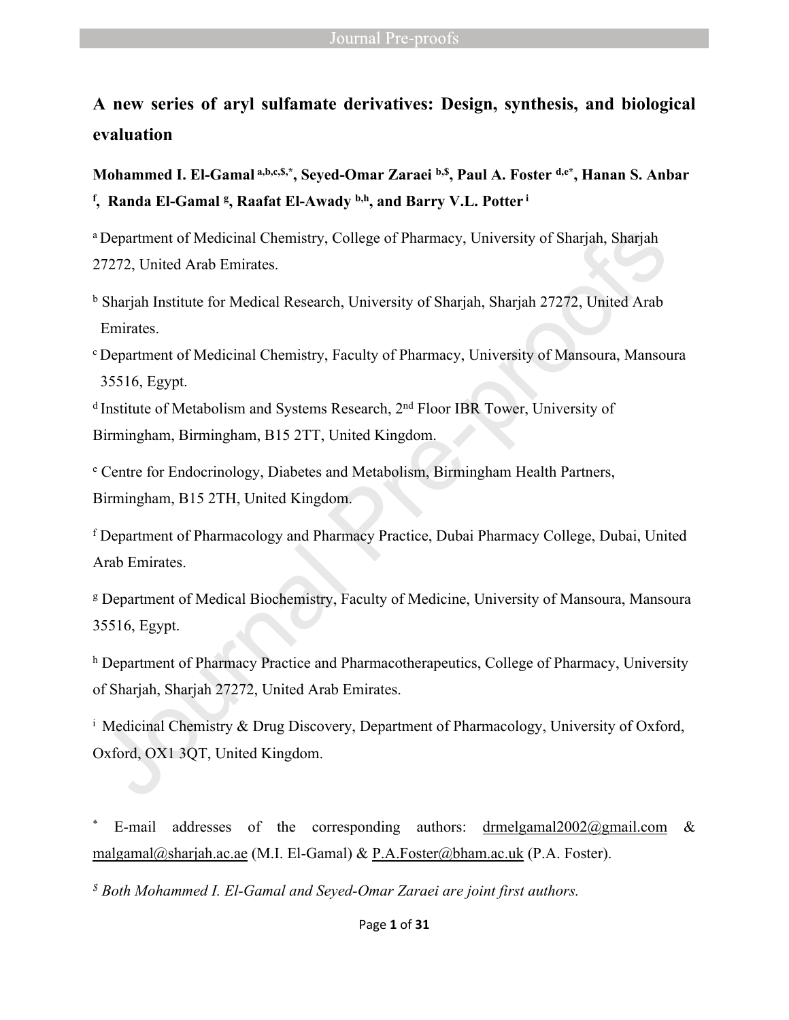**A new series of aryl sulfamate derivatives: Design, synthesis, and biological evaluation**

**Mohammed I. El-Gamal a,b,c,\$,\*, Seyed-Omar Zaraei b,\$, Paul A. Foster d,e\*, Hanan S. Anbar f , Randa El-Gamal <sup>g</sup> , Raafat El-Awady b,h, and Barry V.L. Potter<sup>i</sup>**

<sup>a</sup> Department of Medicinal Chemistry, College of Pharmacy, University of Sharjah, Sharjah 27272, United Arab Emirates.

b Sharjah Institute for Medical Research, University of Sharjah, Sharjah 27272, United Arab Emirates.

<sup>c</sup>Department of Medicinal Chemistry, Faculty of Pharmacy, University of Mansoura, Mansoura 35516, Egypt.

<sup>d</sup> Institute of Metabolism and Systems Research, 2<sup>nd</sup> Floor IBR Tower, University of Birmingham, Birmingham, B15 2TT, United Kingdom.

e Centre for Endocrinology, Diabetes and Metabolism, Birmingham Health Partners, Birmingham, B15 2TH, United Kingdom.

f Department of Pharmacology and Pharmacy Practice, Dubai Pharmacy College, Dubai, United Arab Emirates.

g Department of Medical Biochemistry, Faculty of Medicine, University of Mansoura, Mansoura 35516, Egypt.

h Department of Pharmacy Practice and Pharmacotherapeutics, College of Pharmacy, University of Sharjah, Sharjah 27272, United Arab Emirates.

<sup>i</sup> Medicinal Chemistry & Drug Discovery, Department of Pharmacology, University of Oxford, Oxford, OX1 3QT, United Kingdom.

\* E-mail addresses of the corresponding authors: [drmelgamal2002@gmail.com](mailto:drmelgamal2002@gmail.com) & [malgamal@sharjah.ac.ae](mailto:malgamal@sharjah.ac.ae) (M.I. El-Gamal) & [P.A.Foster@bham.ac.uk](mailto:P.A.Foster@bham.ac.uk) (P.A. Foster).

*\$ Both Mohammed I. El-Gamal and Seyed-Omar Zaraei are joint first authors.*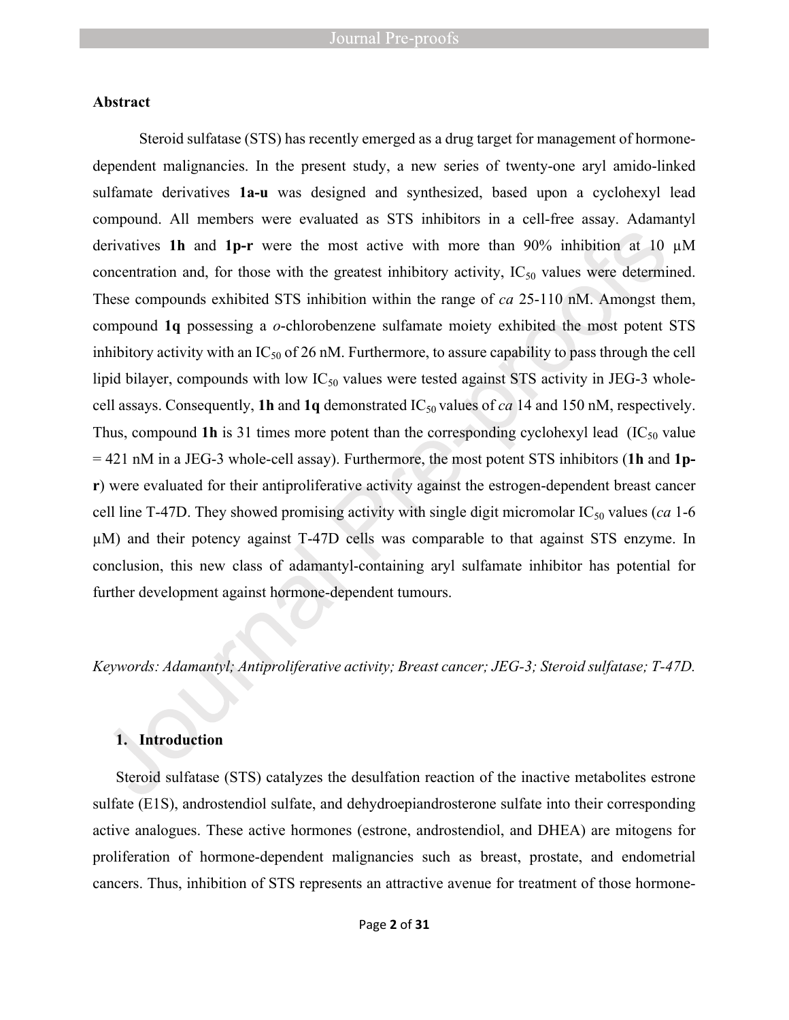#### **Abstract**

Steroid sulfatase (STS) has recently emerged as a drug target for management of hormonedependent malignancies. In the present study, a new series of twenty-one aryl amido-linked sulfamate derivatives **1a-u** was designed and synthesized, based upon a cyclohexyl lead compound. All members were evaluated as STS inhibitors in a cell-free assay. Adamantyl derivatives **1h** and **1p-r** were the most active with more than 90% inhibition at 10 µM concentration and, for those with the greatest inhibitory activity,  $IC_{50}$  values were determined. These compounds exhibited STS inhibition within the range of *ca* 25-110 nM. Amongst them, compound **1q** possessing a *o*-chlorobenzene sulfamate moiety exhibited the most potent STS inhibitory activity with an  $IC_{50}$  of 26 nM. Furthermore, to assure capability to pass through the cell lipid bilayer, compounds with low  $IC_{50}$  values were tested against STS activity in JEG-3 wholecell assays. Consequently, **1h** and **1q** demonstrated  $IC_{50}$  values of *ca* 14 and 150 nM, respectively. Thus, compound **1h** is 31 times more potent than the corresponding cyclohexyl lead (IC<sub>50</sub> value) = 421 nM in a JEG-3 whole-cell assay). Furthermore, the most potent STS inhibitors (**1h** and **1pr**) were evaluated for their antiproliferative activity against the estrogen-dependent breast cancer cell line T-47D. They showed promising activity with single digit micromolar  $IC_{50}$  values (*ca* 1-6) µM) and their potency against T-47D cells was comparable to that against STS enzyme. In conclusion, this new class of adamantyl-containing aryl sulfamate inhibitor has potential for further development against hormone-dependent tumours.

*Keywords: Adamantyl; Antiproliferative activity; Breast cancer; JEG-3; Steroid sulfatase; T-47D.*

### **1. Introduction**

Steroid sulfatase (STS) catalyzes the desulfation reaction of the inactive metabolites estrone sulfate (E1S), androstendiol sulfate, and dehydroepiandrosterone sulfate into their corresponding active analogues. These active hormones (estrone, androstendiol, and DHEA) are mitogens for proliferation of hormone-dependent malignancies such as breast, prostate, and endometrial cancers. Thus, inhibition of STS represents an attractive avenue for treatment of those hormone-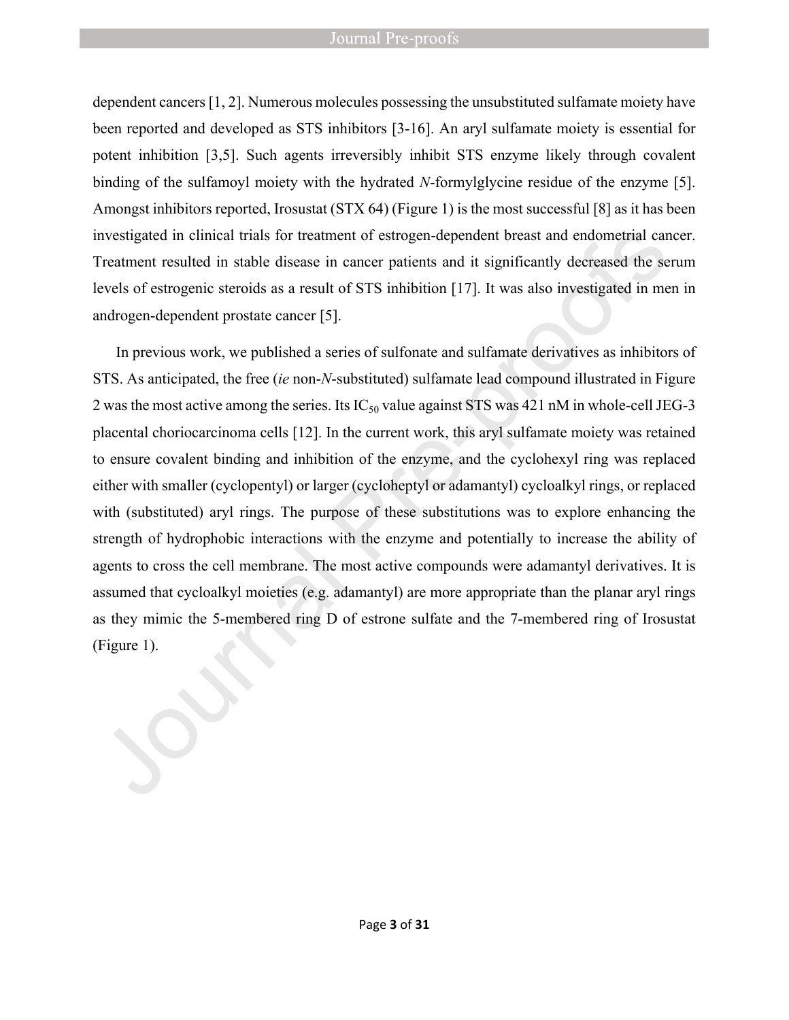#### Journal Pre-proofs

dependent cancers [1, 2]. Numerous molecules possessing the unsubstituted sulfamate moiety have been reported and developed as STS inhibitors [3-16]. An aryl sulfamate moiety is essential for potent inhibition [3,5]. Such agents irreversibly inhibit STS enzyme likely through covalent binding of the sulfamoyl moiety with the hydrated *N*-formylglycine residue of the enzyme [5]. Amongst inhibitors reported, Irosustat (STX 64) (Figure 1) is the most successful [8] as it has been investigated in clinical trials for treatment of estrogen-dependent breast and endometrial cancer. Treatment resulted in stable disease in cancer patients and it significantly decreased the serum levels of estrogenic steroids as a result of STS inhibition [17]. It was also investigated in men in androgen-dependent prostate cancer [5].

In previous work, we published a series of sulfonate and sulfamate derivatives as inhibitors of STS. As anticipated, the free (*ie* non-*N*-substituted) sulfamate lead compound illustrated in Figure 2 was the most active among the series. Its  $IC_{50}$  value against STS was 421 nM in whole-cell JEG-3 placental choriocarcinoma cells [12]. In the current work, this aryl sulfamate moiety was retained to ensure covalent binding and inhibition of the enzyme, and the cyclohexyl ring was replaced either with smaller (cyclopentyl) or larger (cycloheptyl or adamantyl) cycloalkyl rings, or replaced with (substituted) aryl rings. The purpose of these substitutions was to explore enhancing the strength of hydrophobic interactions with the enzyme and potentially to increase the ability of agents to cross the cell membrane. The most active compounds were adamantyl derivatives. It is assumed that cycloalkyl moieties (e.g. adamantyl) are more appropriate than the planar aryl rings as they mimic the 5-membered ring D of estrone sulfate and the 7-membered ring of Irosustat (Figure 1).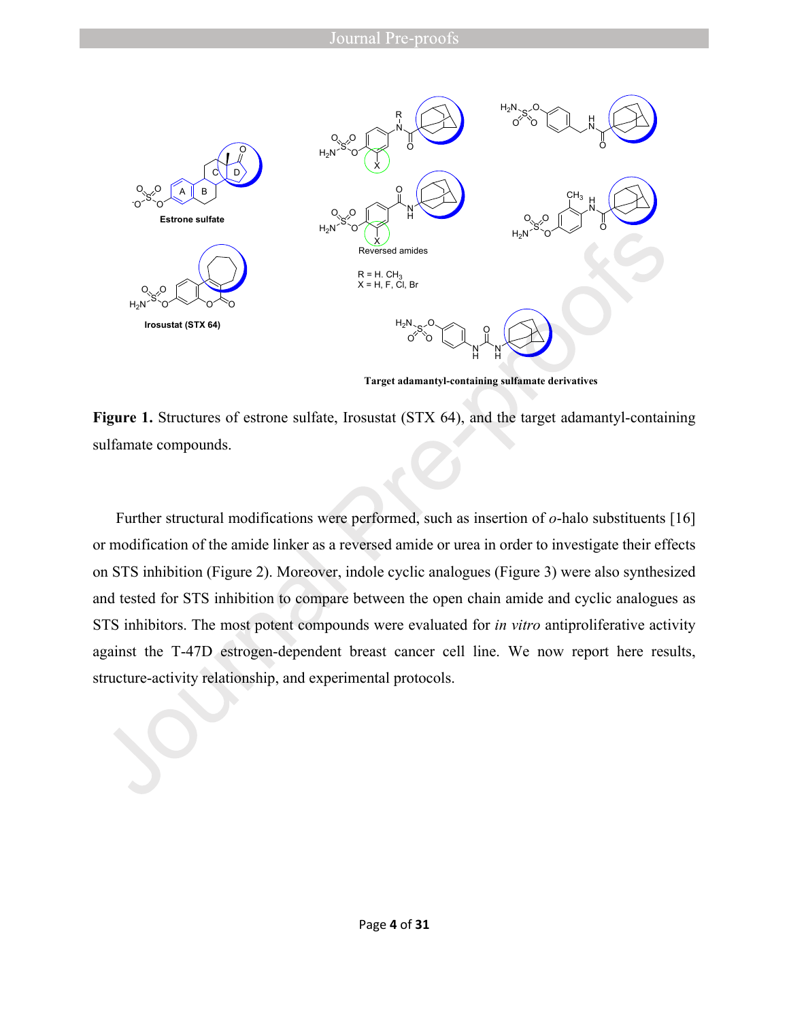

**Target adamantyl-containing sulfamate derivatives**

Figure 1. Structures of estrone sulfate, Irosustat (STX 64), and the target adamantyl-containing sulfamate compounds.

Further structural modifications were performed, such as insertion of *o*-halo substituents [16] or modification of the amide linker as a reversed amide or urea in order to investigate their effects on STS inhibition (Figure 2). Moreover, indole cyclic analogues (Figure 3) were also synthesized and tested for STS inhibition to compare between the open chain amide and cyclic analogues as STS inhibitors. The most potent compounds were evaluated for *in vitro* antiproliferative activity against the T-47D estrogen-dependent breast cancer cell line. We now report here results, structure-activity relationship, and experimental protocols.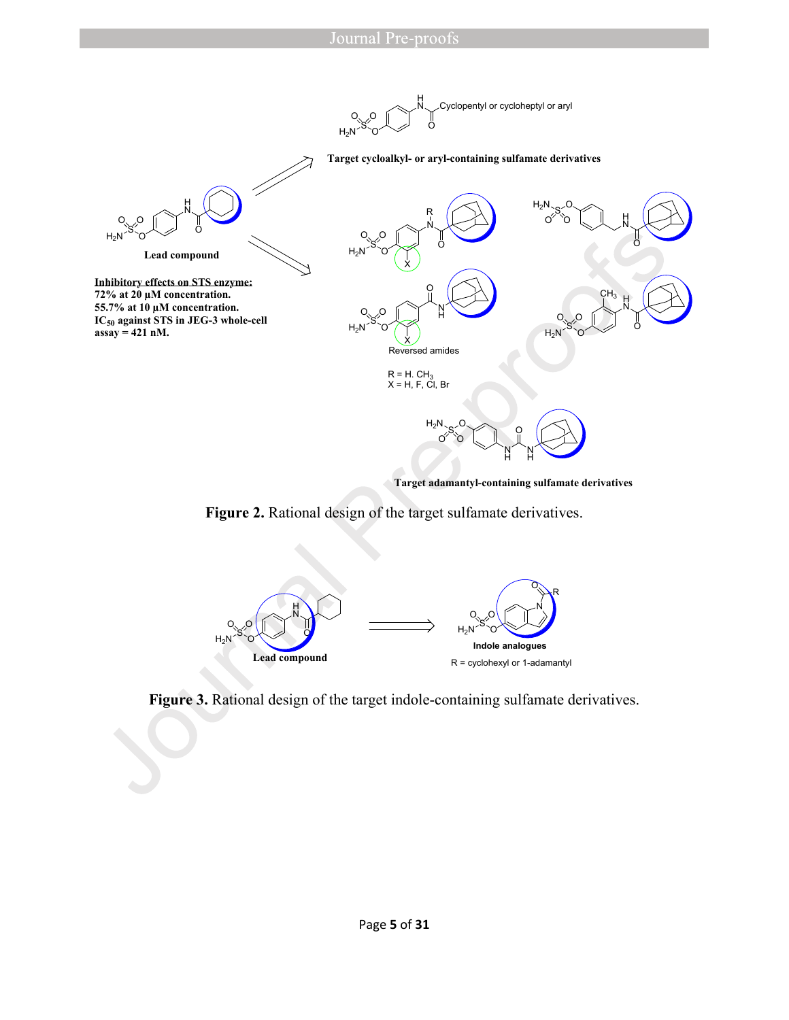

**Target adamantyl-containing sulfamate derivatives**

### **Figure 2.** Rational design of the target sulfamate derivatives.



**Figure 3.** Rational design of the target indole-containing sulfamate derivatives.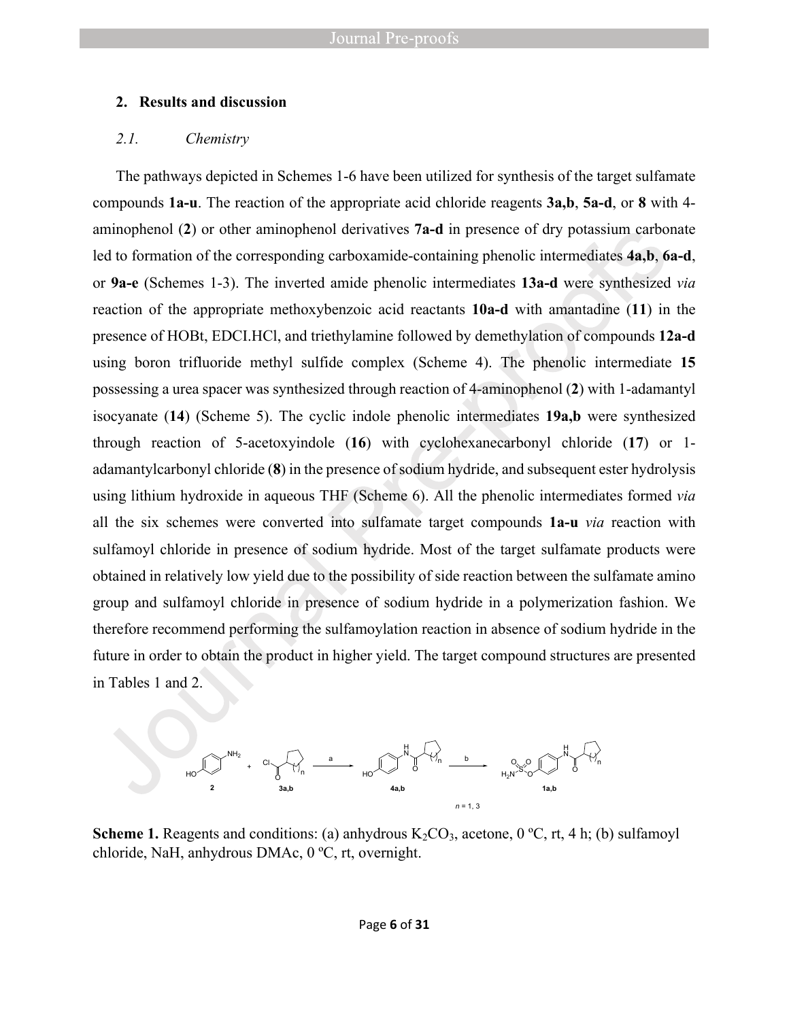#### **2. Results and discussion**

#### *2.1. Chemistry*

The pathways depicted in Schemes 1-6 have been utilized for synthesis of the target sulfamate compounds **1a-u**. The reaction of the appropriate acid chloride reagents **3a,b**, **5a-d**, or **8** with 4 aminophenol (**2**) or other aminophenol derivatives **7a-d** in presence of dry potassium carbonate led to formation of the corresponding carboxamide-containing phenolic intermediates **4a,b**, **6a-d**, or **9a-e** (Schemes 1-3). The inverted amide phenolic intermediates **13a-d** were synthesized *via* reaction of the appropriate methoxybenzoic acid reactants **10a-d** with amantadine (**11**) in the presence of HOBt, EDCI.HCl, and triethylamine followed by demethylation of compounds **12a-d** using boron trifluoride methyl sulfide complex (Scheme 4). The phenolic intermediate **15** possessing a urea spacer was synthesized through reaction of 4-aminophenol (**2**) with 1-adamantyl isocyanate (**14**) (Scheme 5). The cyclic indole phenolic intermediates **19a,b** were synthesized through reaction of 5-acetoxyindole (**16**) with cyclohexanecarbonyl chloride (**17**) or 1 adamantylcarbonyl chloride (**8**) in the presence of sodium hydride, and subsequent ester hydrolysis using lithium hydroxide in aqueous THF (Scheme 6). All the phenolic intermediates formed *via*  all the six schemes were converted into sulfamate target compounds **1a-u** *via* reaction with sulfamoyl chloride in presence of sodium hydride. Most of the target sulfamate products were obtained in relatively low yield due to the possibility of side reaction between the sulfamate amino group and sulfamoyl chloride in presence of sodium hydride in a polymerization fashion. We therefore recommend performing the sulfamoylation reaction in absence of sodium hydride in the future in order to obtain the product in higher yield. The target compound structures are presented in Tables 1 and 2.



**Scheme 1.** Reagents and conditions: (a) anhydrous  $K_2CO_3$ , acetone, 0 °C, rt, 4 h; (b) sulfamoyl chloride, NaH, anhydrous DMAc, 0 ºC, rt, overnight.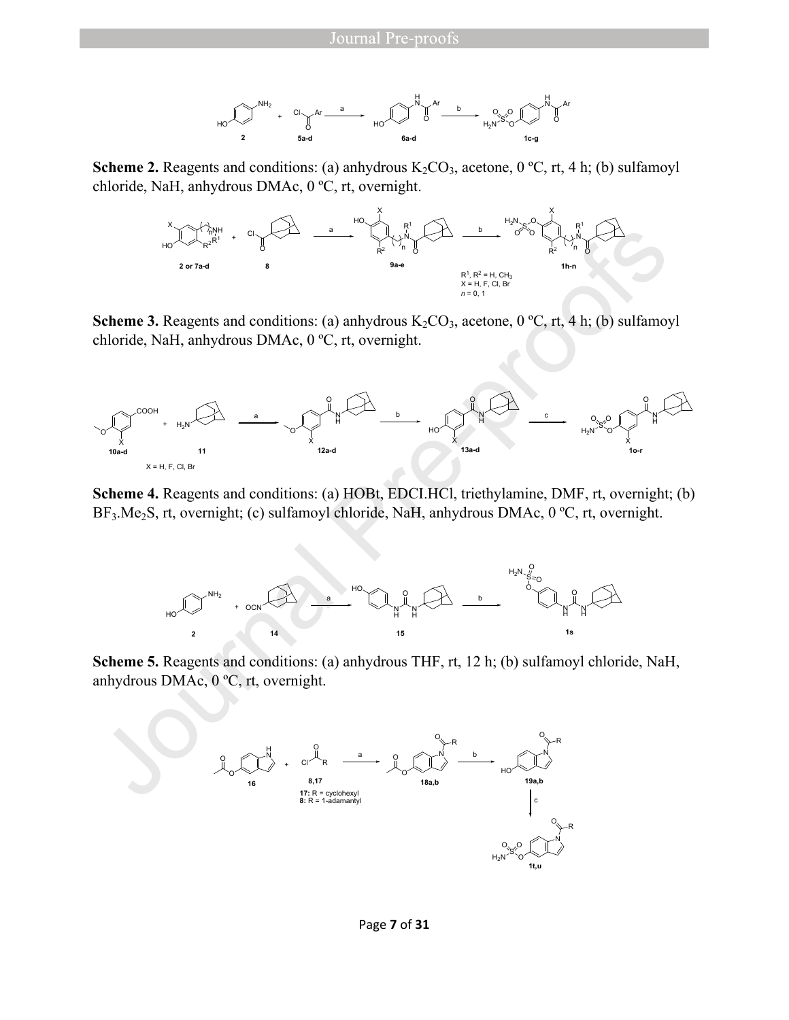

**Scheme 2.** Reagents and conditions: (a) anhydrous  $K_2CO_3$ , acetone, 0 °C, rt, 4 h; (b) sulfamoyl chloride, NaH, anhydrous DMAc, 0 ºC, rt, overnight.



**Scheme 3.** Reagents and conditions: (a) anhydrous  $K_2CO_3$ , acetone, 0 °C, rt, 4 h; (b) sulfamoyl chloride, NaH, anhydrous DMAc, 0 ºC, rt, overnight.



**Scheme 4.** Reagents and conditions: (a) HOBt, EDCI.HCl, triethylamine, DMF, rt, overnight; (b) BF<sub>3</sub>.Me<sub>2</sub>S, rt, overnight; (c) sulfamoyl chloride, NaH, anhydrous DMAc, 0 °C, rt, overnight.



**Scheme 5.** Reagents and conditions: (a) anhydrous THF, rt, 12 h; (b) sulfamoyl chloride, NaH, anhydrous DMAc, 0 ºC, rt, overnight.

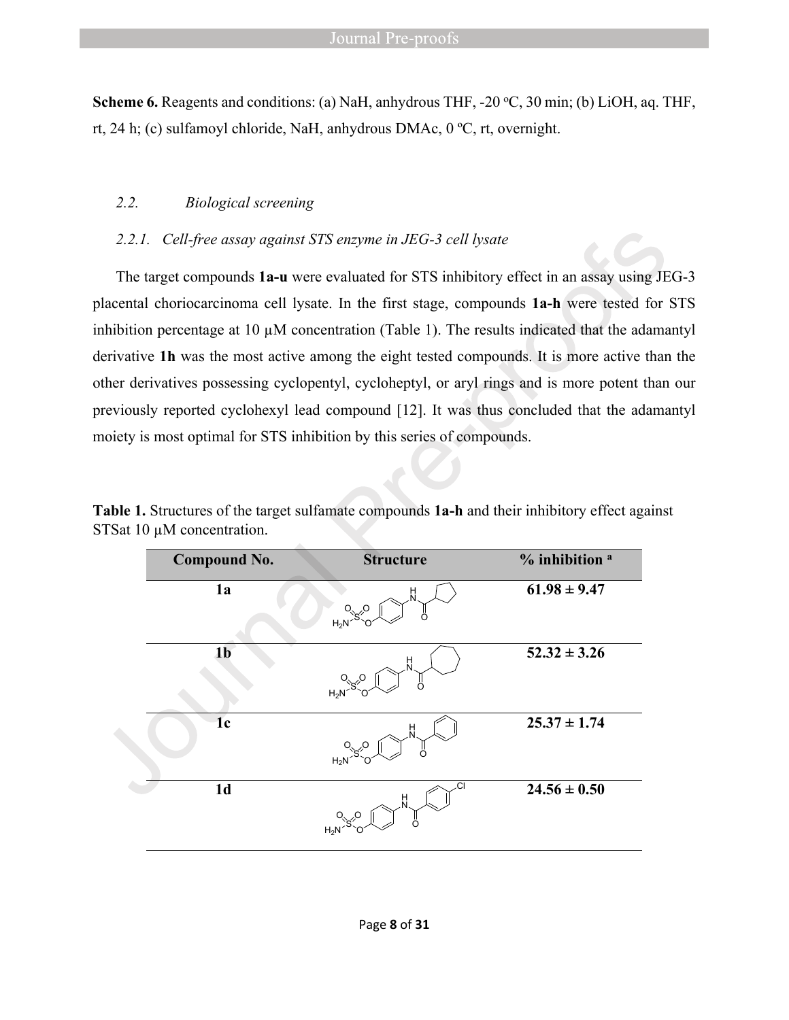**Scheme 6.** Reagents and conditions: (a) NaH, anhydrous THF, -20 °C, 30 min; (b) LiOH, aq. THF, rt, 24 h; (c) sulfamoyl chloride, NaH, anhydrous DMAc, 0 ºC, rt, overnight.

#### *2.2. Biological screening*

#### *2.2.1. Cell-free assay against STS enzyme in JEG-3 cell lysate*

The target compounds **1a-u** were evaluated for STS inhibitory effect in an assay using JEG-3 placental choriocarcinoma cell lysate. In the first stage, compounds **1a-h** were tested for STS inhibition percentage at 10 µM concentration (Table 1). The results indicated that the adamantyl derivative **1h** was the most active among the eight tested compounds. It is more active than the other derivatives possessing cyclopentyl, cycloheptyl, or aryl rings and is more potent than our previously reported cyclohexyl lead compound [12]. It was thus concluded that the adamantyl moiety is most optimal for STS inhibition by this series of compounds.

| Table 1. Structures of the target sulfamate compounds 1a-h and their inhibitory effect against |  |  |  |
|------------------------------------------------------------------------------------------------|--|--|--|
| STSat $10 \mu$ M concentration.                                                                |  |  |  |

| <b>Compound No.</b> | <b>Structure</b>  | % inhibition <sup>a</sup> |
|---------------------|-------------------|---------------------------|
| 1a                  | H<br>$H_2N$       | $61.98 \pm 9.47$          |
| 1 <sub>b</sub>      | 븼<br>$H_2N$       | $52.32 \pm 3.26$          |
| 1 <sub>c</sub>      | Н<br>$H_2N$       | $25.37 \pm 1.74$          |
| 1 <sub>d</sub>      | СI<br>뷰<br>$H_2N$ | $24.56 \pm 0.50$          |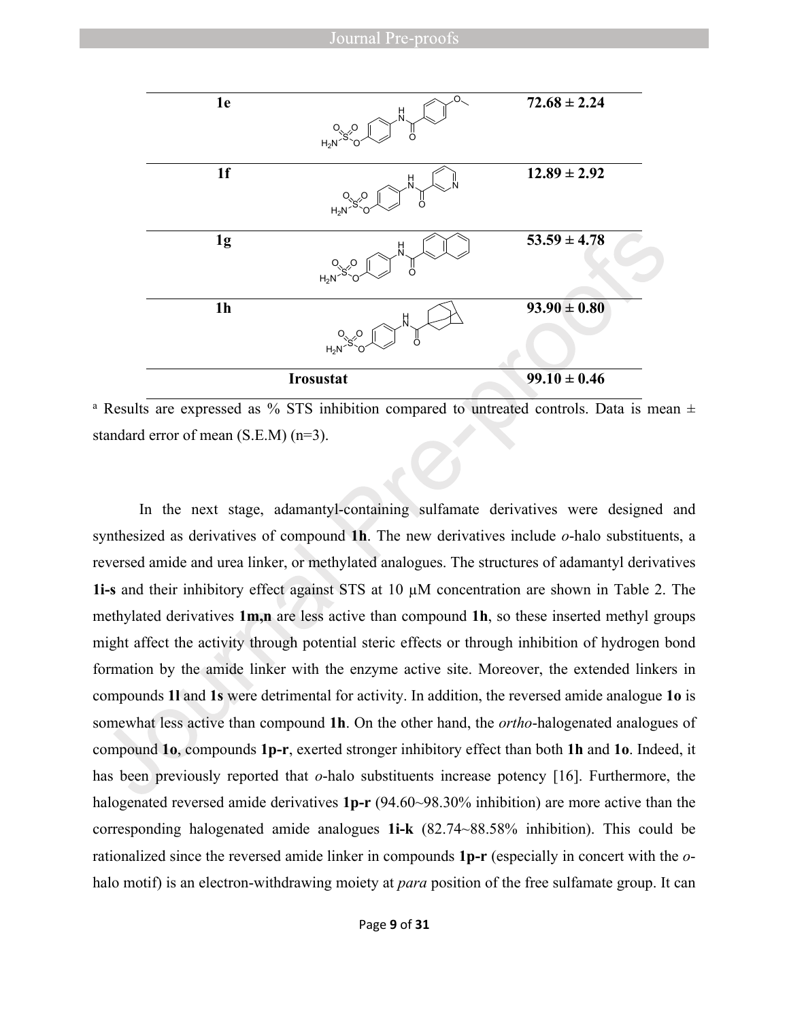| 1e             | $O_{\scriptscriptstyle\diagdown}$<br>$\frac{H}{N}$<br>$O\frac{1}{2}$<br>ő<br>$H_2N$ | $72.68 \pm 2.24$ |
|----------------|-------------------------------------------------------------------------------------|------------------|
| 1 <sub>f</sub> | H<br>$H_2N$                                                                         | $12.89 \pm 2.92$ |
| 1 <sub>g</sub> | н<br>ő<br>$H_2N$                                                                    | $53.59 \pm 4.78$ |
| 1 <sub>h</sub> | H<br>$O_{\sqrt{6}}$<br>Ö<br>$H_2N$                                                  | $93.90 \pm 0.80$ |
|                | <b>Irosustat</b>                                                                    | $99.10 \pm 0.46$ |

<sup>a</sup> Results are expressed as % STS inhibition compared to untreated controls. Data is mean  $\pm$ standard error of mean (S.E.M) (n=3).

In the next stage, adamantyl-containing sulfamate derivatives were designed and synthesized as derivatives of compound **1h**. The new derivatives include *o*-halo substituents, a reversed amide and urea linker, or methylated analogues. The structures of adamantyl derivatives **1i-s** and their inhibitory effect against STS at 10 µM concentration are shown in Table 2. The methylated derivatives **1m,n** are less active than compound **1h**, so these inserted methyl groups might affect the activity through potential steric effects or through inhibition of hydrogen bond formation by the amide linker with the enzyme active site. Moreover, the extended linkers in compounds **1l** and **1s** were detrimental for activity. In addition, the reversed amide analogue **1o** is somewhat less active than compound **1h**. On the other hand, the *ortho*-halogenated analogues of compound **1o**, compounds **1p-r**, exerted stronger inhibitory effect than both **1h** and **1o**. Indeed, it has been previously reported that *o*-halo substituents increase potency [16]. Furthermore, the halogenated reversed amide derivatives **1p-r** (94.60~98.30% inhibition) are more active than the corresponding halogenated amide analogues **1i-k** (82.74~88.58% inhibition). This could be rationalized since the reversed amide linker in compounds **1p-r** (especially in concert with the *o*halo motif) is an electron-withdrawing moiety at *para* position of the free sulfamate group. It can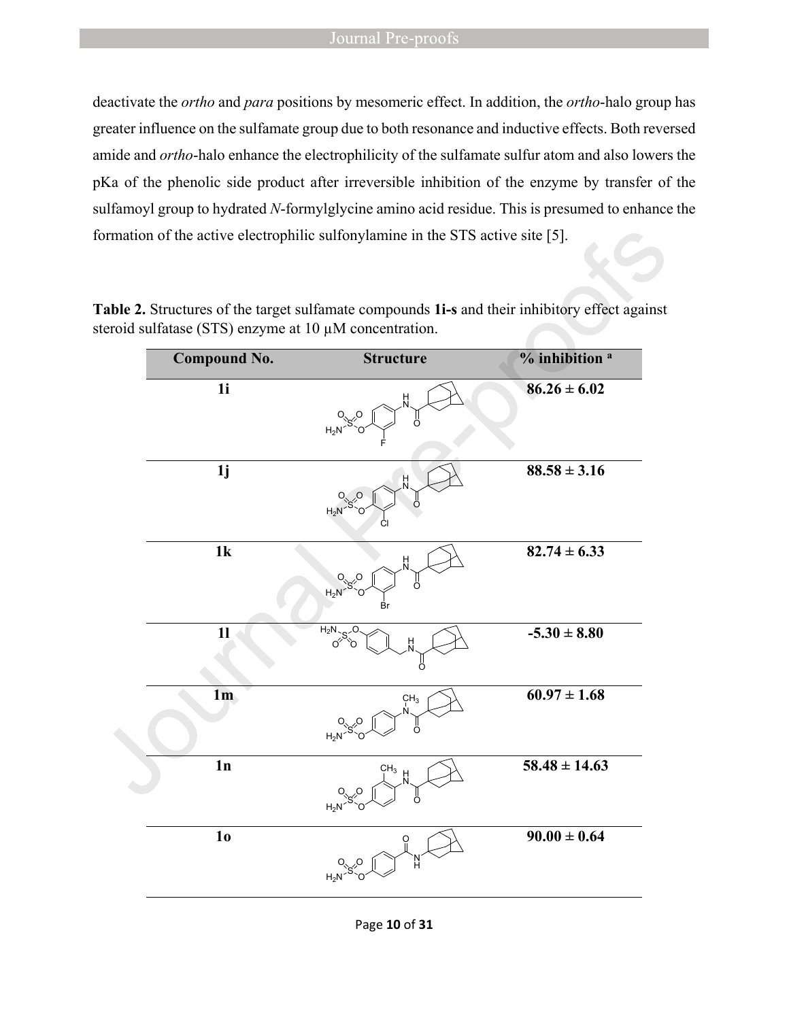#### Journal Pre-proofs

deactivate the *ortho* and *para* positions by mesomeric effect. In addition, the *ortho*-halo group has greater influence on the sulfamate group due to both resonance and inductive effects. Both reversed amide and *ortho*-halo enhance the electrophilicity of the sulfamate sulfur atom and also lowers the pKa of the phenolic side product after irreversible inhibition of the enzyme by transfer of the sulfamoyl group to hydrated *N*-formylglycine amino acid residue. This is presumed to enhance the formation of the active electrophilic sulfonylamine in the STS active site [5].

| <b>Compound No.</b> | <b>Structure</b>                                           | % inhibition <sup>a</sup> |
|---------------------|------------------------------------------------------------|---------------------------|
| 1i                  | H<br>ő<br>$H_2N$                                           | $86.26 \pm 6.02$          |
| 1j                  | $\frac{H}{N}$<br>ő<br>$H_2N$<br>СI                         | $88.58 \pm 3.16$          |
| 1k                  | H<br>N<br>$O_{\sqrt{S}}$ <sup>O</sup><br>ő<br>$H_2N$<br>Br | $82.74 \pm 6.33$          |
| $\mathbf{1}$        | $H_2N$<br>H<br>റ്<br>ő                                     | $-5.30 \pm 8.80$          |
| 1 <sub>m</sub>      | CH <sub>3</sub><br>ال<br>O<br>$H_2N$<br>O                  | $60.97 \pm 1.68$          |
| 1n                  | CH <sub>3</sub><br>H<br>Ő<br>$H_2N^2$                      | $58.48 \pm 14.63$         |
| 1 <sub>0</sub>      | 'N<br>H<br>$H_2N$                                          | $90.00 \pm 0.64$          |

**Table 2.** Structures of the target sulfamate compounds **1i-s** and their inhibitory effect against steroid sulfatase (STS) enzyme at 10  $\mu$ M concentration.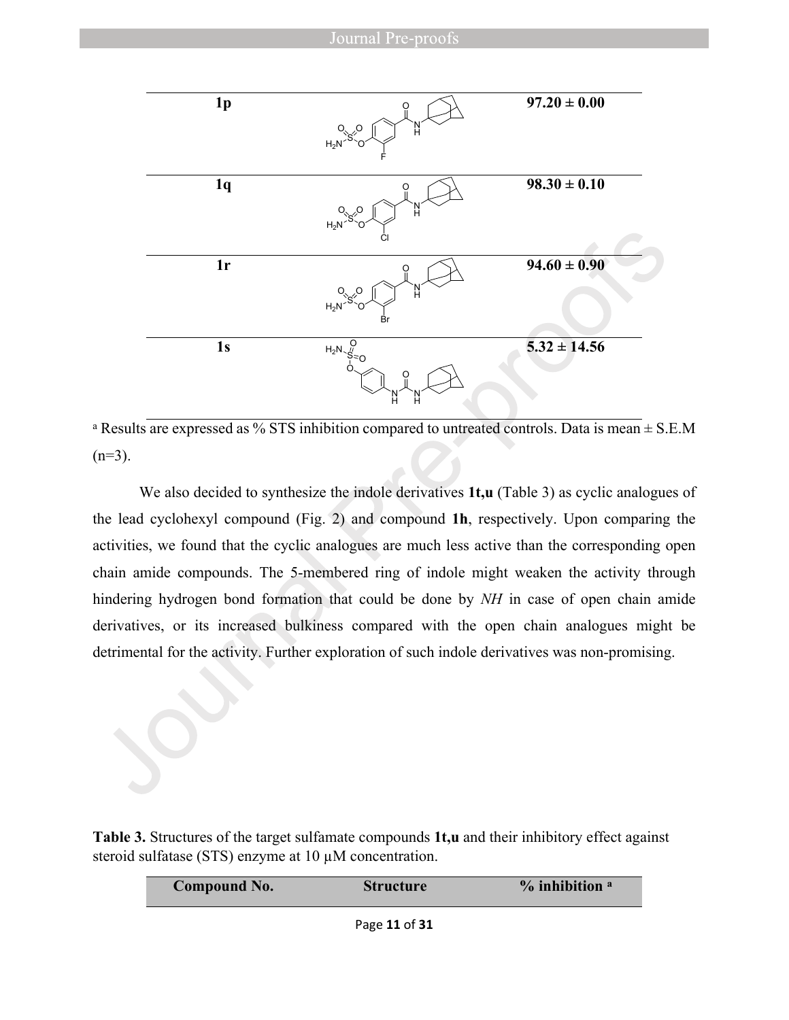

<sup>a</sup> Results are expressed as % STS inhibition compared to untreated controls. Data is mean  $\pm$  S.E.M  $(n=3)$ .

We also decided to synthesize the indole derivatives **1t,u** (Table 3) as cyclic analogues of the lead cyclohexyl compound (Fig. 2) and compound **1h**, respectively. Upon comparing the activities, we found that the cyclic analogues are much less active than the corresponding open chain amide compounds. The 5-membered ring of indole might weaken the activity through hindering hydrogen bond formation that could be done by *NH* in case of open chain amide derivatives, or its increased bulkiness compared with the open chain analogues might be detrimental for the activity. Further exploration of such indole derivatives was non-promising.

**Table 3.** Structures of the target sulfamate compounds **1t,u** and their inhibitory effect against steroid sulfatase (STS) enzyme at 10  $\mu$ M concentration.

| Compound No. | <b>Structure</b> | $%$ inhibition $a$ |
|--------------|------------------|--------------------|
|              |                  |                    |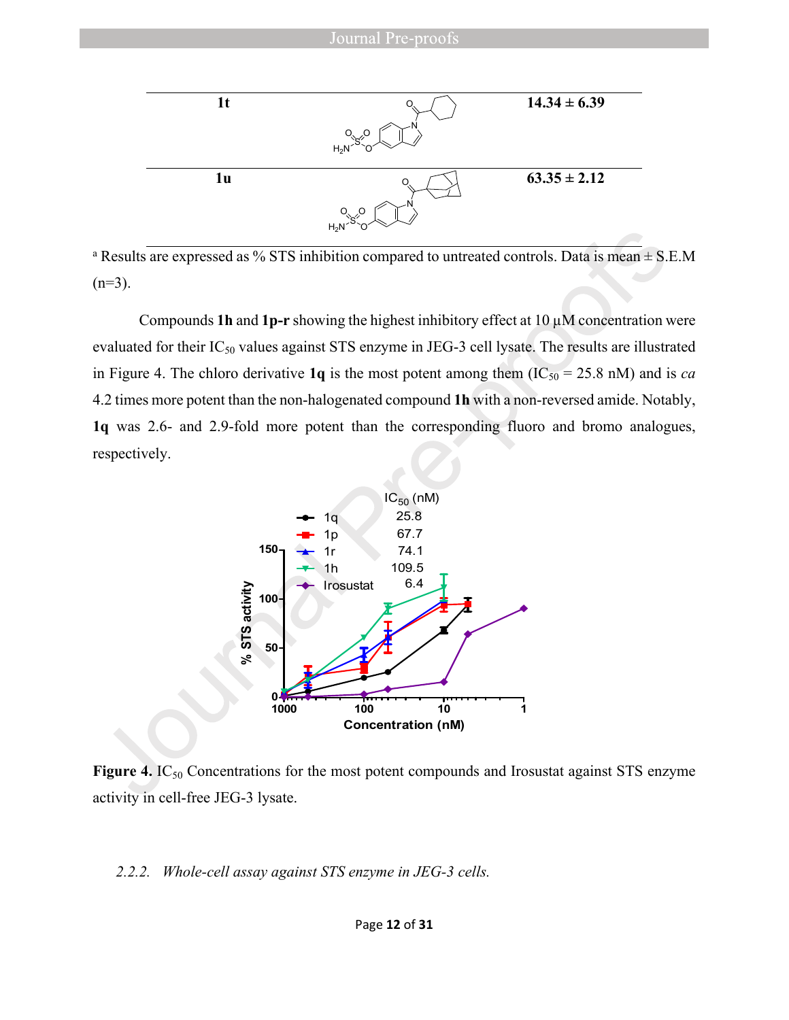

<sup>a</sup> Results are expressed as % STS inhibition compared to untreated controls. Data is mean  $\pm$  S.E.M  $(n=3)$ .

Compounds **1h** and **1p-r** showing the highest inhibitory effect at  $10 \mu$ M concentration were evaluated for their  $IC_{50}$  values against STS enzyme in JEG-3 cell lysate. The results are illustrated in Figure 4. The chloro derivative 1q is the most potent among them  $(IC_{50} = 25.8 \text{ nM})$  and is *ca* 4.2 times more potent than the non-halogenated compound **1h** with a non-reversed amide. Notably, **1q** was 2.6- and 2.9-fold more potent than the corresponding fluoro and bromo analogues, respectively.



Figure 4. IC<sub>50</sub> Concentrations for the most potent compounds and Irosustat against STS enzyme activity in cell-free JEG-3 lysate.

#### *2.2.2. Whole-cell assay against STS enzyme in JEG-3 cells.*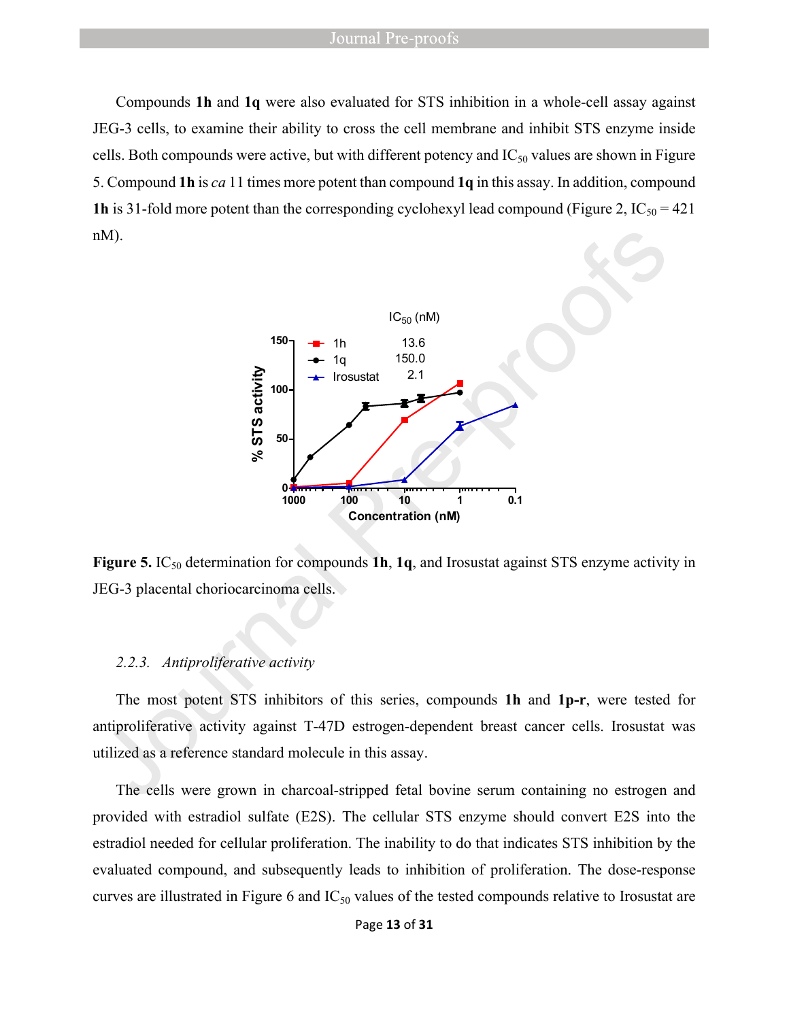Compounds **1h** and **1q** were also evaluated for STS inhibition in a whole-cell assay against JEG-3 cells, to examine their ability to cross the cell membrane and inhibit STS enzyme inside cells. Both compounds were active, but with different potency and  $IC_{50}$  values are shown in Figure 5. Compound **1h** is *ca* 11 times more potent than compound **1q** in this assay. In addition, compound **1h** is 31-fold more potent than the corresponding cyclohexyl lead compound (Figure 2,  $IC_{50} = 421$ ) nM).



**Figure 5.** IC<sub>50</sub> determination for compounds **1h**, **1q**, and Irosustat against STS enzyme activity in JEG-3 placental choriocarcinoma cells.

#### *2.2.3. Antiproliferative activity*

The most potent STS inhibitors of this series, compounds **1h** and **1p-r**, were tested for antiproliferative activity against T-47D estrogen-dependent breast cancer cells. Irosustat was utilized as a reference standard molecule in this assay.

The cells were grown in charcoal-stripped fetal bovine serum containing no estrogen and provided with estradiol sulfate (E2S). The cellular STS enzyme should convert E2S into the estradiol needed for cellular proliferation. The inability to do that indicates STS inhibition by the evaluated compound, and subsequently leads to inhibition of proliferation. The dose-response curves are illustrated in Figure 6 and IC<sub>50</sub> values of the tested compounds relative to Irosustat are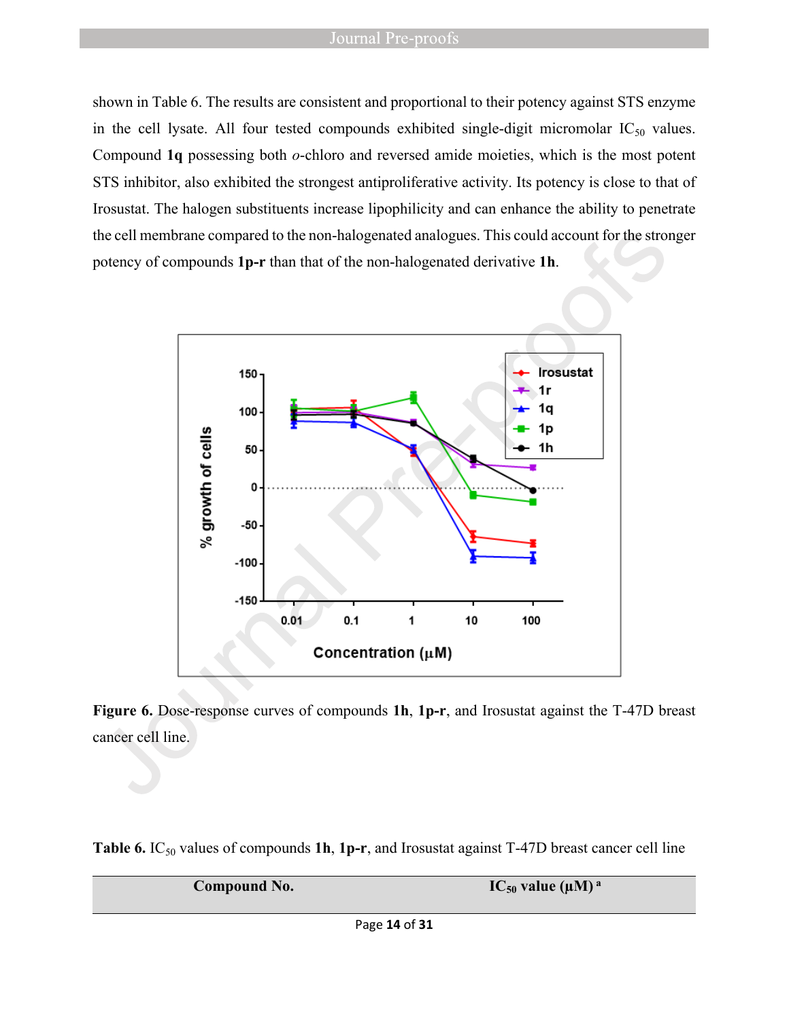#### Journal Pre-proofs

shown in Table 6. The results are consistent and proportional to their potency against STS enzyme in the cell lysate. All four tested compounds exhibited single-digit micromolar  $IC_{50}$  values. Compound **1q** possessing both *o*-chloro and reversed amide moieties, which is the most potent STS inhibitor, also exhibited the strongest antiproliferative activity. Its potency is close to that of Irosustat. The halogen substituents increase lipophilicity and can enhance the ability to penetrate the cell membrane compared to the non-halogenated analogues. This could account for the stronger potency of compounds **1p-r** than that of the non-halogenated derivative **1h**.



**Figure 6.** Dose-response curves of compounds **1h**, **1p-r**, and Irosustat against the T-47D breast cancer cell line.

Table 6. IC<sub>50</sub> values of compounds 1h, 1p-r, and Irosustat against T-47D breast cancer cell line

| <b>Compound No.</b> | $IC_{50}$ value ( $\mu$ M) <sup>a</sup> |
|---------------------|-----------------------------------------|
|                     |                                         |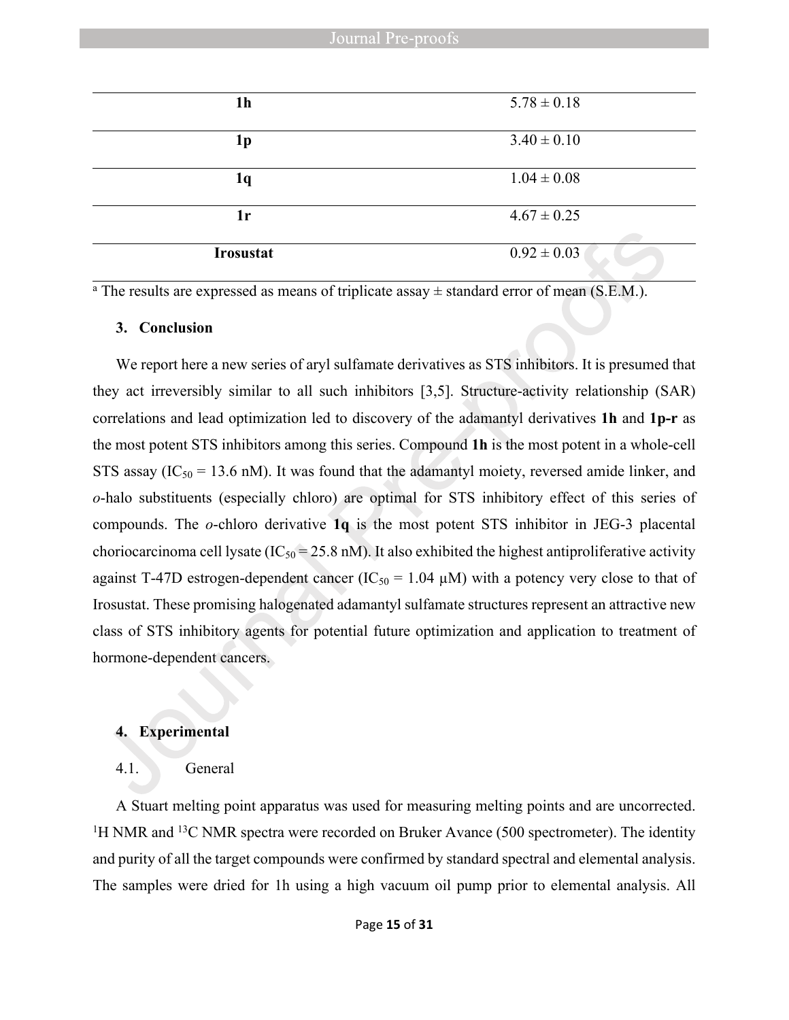| 1 <sub>h</sub>   | $5.78 \pm 0.18$ |
|------------------|-----------------|
| 1p               | $3.40 \pm 0.10$ |
| 1q               | $1.04 \pm 0.08$ |
| 1r               | $4.67 \pm 0.25$ |
| <b>Irosustat</b> | $0.92 \pm 0.03$ |

<sup>a</sup> The results are expressed as means of triplicate assay  $\pm$  standard error of mean (S.E.M.).

#### **3. Conclusion**

We report here a new series of aryl sulfamate derivatives as STS inhibitors. It is presumed that they act irreversibly similar to all such inhibitors [3,5]. Structure-activity relationship (SAR) correlations and lead optimization led to discovery of the adamantyl derivatives **1h** and **1p-r** as the most potent STS inhibitors among this series. Compound **1h** is the most potent in a whole-cell STS assay ( $IC_{50} = 13.6$  nM). It was found that the adamantyl moiety, reversed amide linker, and *o*-halo substituents (especially chloro) are optimal for STS inhibitory effect of this series of compounds. The *o*-chloro derivative **1q** is the most potent STS inhibitor in JEG-3 placental choriocarcinoma cell lysate ( $IC_{50} = 25.8$  nM). It also exhibited the highest antiproliferative activity against T-47D estrogen-dependent cancer ( $IC_{50} = 1.04 \mu M$ ) with a potency very close to that of Irosustat. These promising halogenated adamantyl sulfamate structures represent an attractive new class of STS inhibitory agents for potential future optimization and application to treatment of hormone-dependent cancers.

#### **4. Experimental**

#### 4.1. General

A Stuart melting point apparatus was used for measuring melting points and are uncorrected. <sup>1</sup>H NMR and <sup>13</sup>C NMR spectra were recorded on Bruker Avance (500 spectrometer). The identity and purity of all the target compounds were confirmed by standard spectral and elemental analysis. The samples were dried for 1h using a high vacuum oil pump prior to elemental analysis. All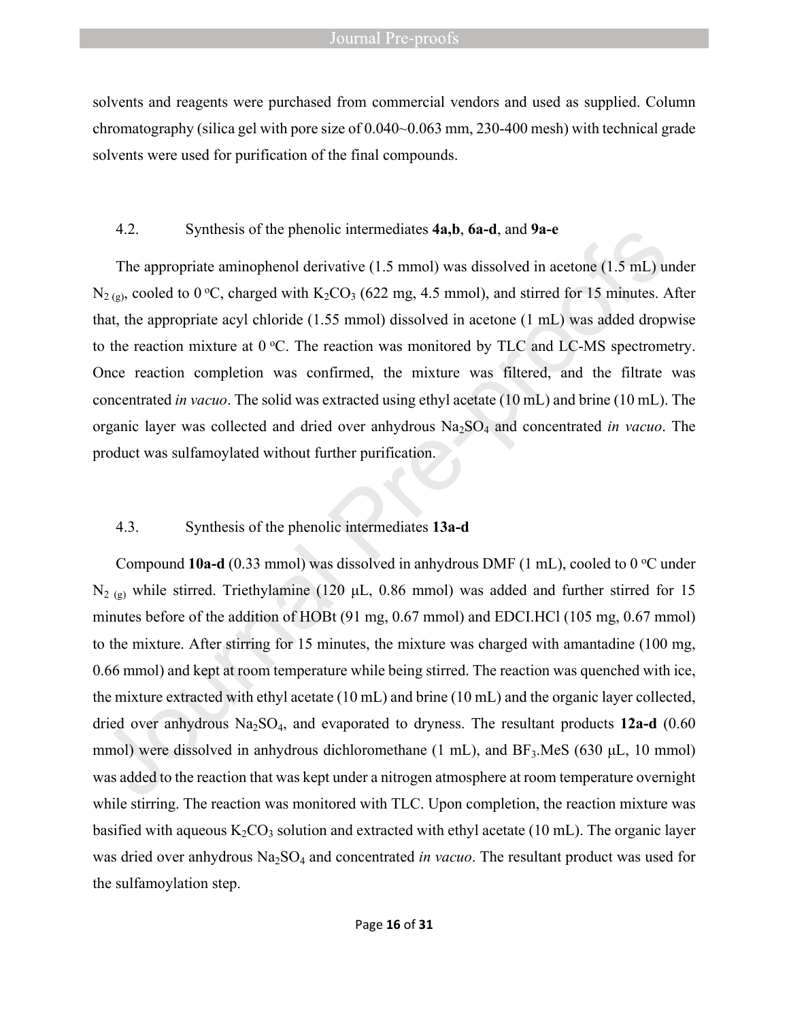#### **Journal Pre-proofs**

solvents and reagents were purchased from commercial vendors and used as supplied. Column chromatography (silica gel with pore size of 0.040~0.063 mm, 230-400 mesh) with technical grade solvents were used for purification of the final compounds.

#### 4.2. Synthesis of the phenolic intermediates **4a,b**, **6a-d**, and **9a-e**

The appropriate aminophenol derivative (1.5 mmol) was dissolved in acetone (1.5 mL) under  $N_{2 (g)}$ , cooled to 0 °C, charged with  $K_2CO_3$  (622 mg, 4.5 mmol), and stirred for 15 minutes. After that, the appropriate acyl chloride (1.55 mmol) dissolved in acetone (1 mL) was added dropwise to the reaction mixture at  $0^{\circ}$ C. The reaction was monitored by TLC and LC-MS spectrometry. Once reaction completion was confirmed, the mixture was filtered, and the filtrate was concentrated *in vacuo*. The solid was extracted using ethyl acetate (10 mL) and brine (10 mL). The organic layer was collected and dried over anhydrous Na<sub>2</sub>SO<sub>4</sub> and concentrated *in vacuo*. The product was sulfamoylated without further purification.

#### 4.3. Synthesis of the phenolic intermediates **13a-d**

Compound **10a-d** (0.33 mmol) was dissolved in anhydrous DMF (1 mL), cooled to 0  $^{\circ}$ C under  $N_{2(g)}$  while stirred. Triethylamine (120 μL, 0.86 mmol) was added and further stirred for 15 minutes before of the addition of HOBt (91 mg, 0.67 mmol) and EDCI.HCl (105 mg, 0.67 mmol) to the mixture. After stirring for 15 minutes, the mixture was charged with amantadine (100 mg, 0.66 mmol) and kept at room temperature while being stirred. The reaction was quenched with ice, the mixture extracted with ethyl acetate (10 mL) and brine (10 mL) and the organic layer collected, dried over anhydrous Na<sub>2</sub>SO<sub>4</sub>, and evaporated to dryness. The resultant products 12a-d (0.60 mmol) were dissolved in anhydrous dichloromethane  $(1 \text{ mL})$ , and  $BF_3$ .MeS (630 µL, 10 mmol) was added to the reaction that was kept under a nitrogen atmosphere at room temperature overnight while stirring. The reaction was monitored with TLC. Upon completion, the reaction mixture was basified with aqueous  $K_2CO_3$  solution and extracted with ethyl acetate (10 mL). The organic layer was dried over anhydrous Na<sub>2</sub>SO<sub>4</sub> and concentrated *in vacuo*. The resultant product was used for the sulfamoylation step.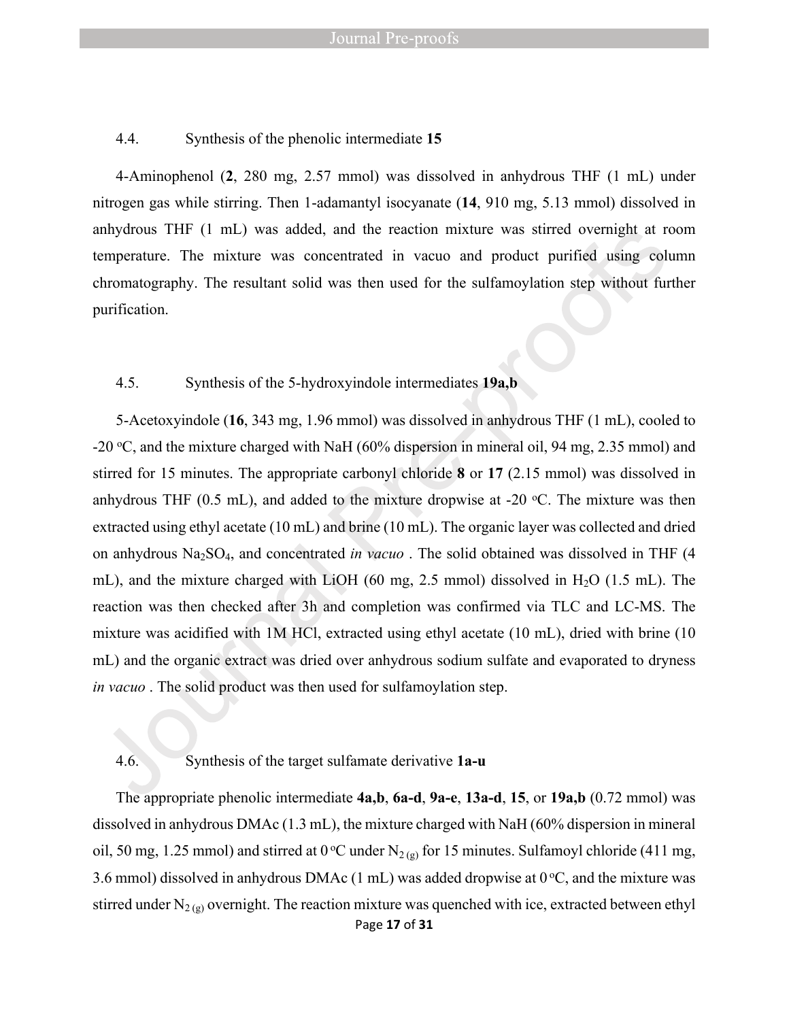#### 4.4. Synthesis of the phenolic intermediate **15**

4-Aminophenol (**2**, 280 mg, 2.57 mmol) was dissolved in anhydrous THF (1 mL) under nitrogen gas while stirring. Then 1-adamantyl isocyanate (**14**, 910 mg, 5.13 mmol) dissolved in anhydrous THF (1 mL) was added, and the reaction mixture was stirred overnight at room temperature. The mixture was concentrated in vacuo and product purified using column chromatography. The resultant solid was then used for the sulfamoylation step without further purification.

#### 4.5. Synthesis of the 5-hydroxyindole intermediates **19a,b**

5-Acetoxyindole (**16**, 343 mg, 1.96 mmol) was dissolved in anhydrous THF (1 mL), cooled to -20 <sup>o</sup>C, and the mixture charged with NaH (60% dispersion in mineral oil, 94 mg, 2.35 mmol) and stirred for 15 minutes. The appropriate carbonyl chloride **8** or **17** (2.15 mmol) was dissolved in anhydrous THF (0.5 mL), and added to the mixture dropwise at -20  $\degree$ C. The mixture was then extracted using ethyl acetate (10 mL) and brine (10 mL). The organic layer was collected and dried on anhydrous Na2SO4, and concentrated *in vacuo* . The solid obtained was dissolved in THF (4 mL), and the mixture charged with LiOH (60 mg, 2.5 mmol) dissolved in  $H<sub>2</sub>O$  (1.5 mL). The reaction was then checked after 3h and completion was confirmed via TLC and LC-MS. The mixture was acidified with 1M HCl, extracted using ethyl acetate (10 mL), dried with brine (10 mL) and the organic extract was dried over anhydrous sodium sulfate and evaporated to dryness *in vacuo* . The solid product was then used for sulfamoylation step.

#### 4.6. Synthesis of the target sulfamate derivative **1a-u**

Page **17** of **31** The appropriate phenolic intermediate **4a,b**, **6a-d**, **9a-e**, **13a-d**, **15**, or **19a,b** (0.72 mmol) was dissolved in anhydrous DMAc (1.3 mL), the mixture charged with NaH (60% dispersion in mineral oil, 50 mg, 1.25 mmol) and stirred at 0 °C under N<sub>2(g)</sub> for 15 minutes. Sulfamoyl chloride (411 mg, 3.6 mmol) dissolved in anhydrous DMAc (1 mL) was added dropwise at  $0^{\circ}$ C, and the mixture was stirred under  $N_{2(g)}$  overnight. The reaction mixture was quenched with ice, extracted between ethyl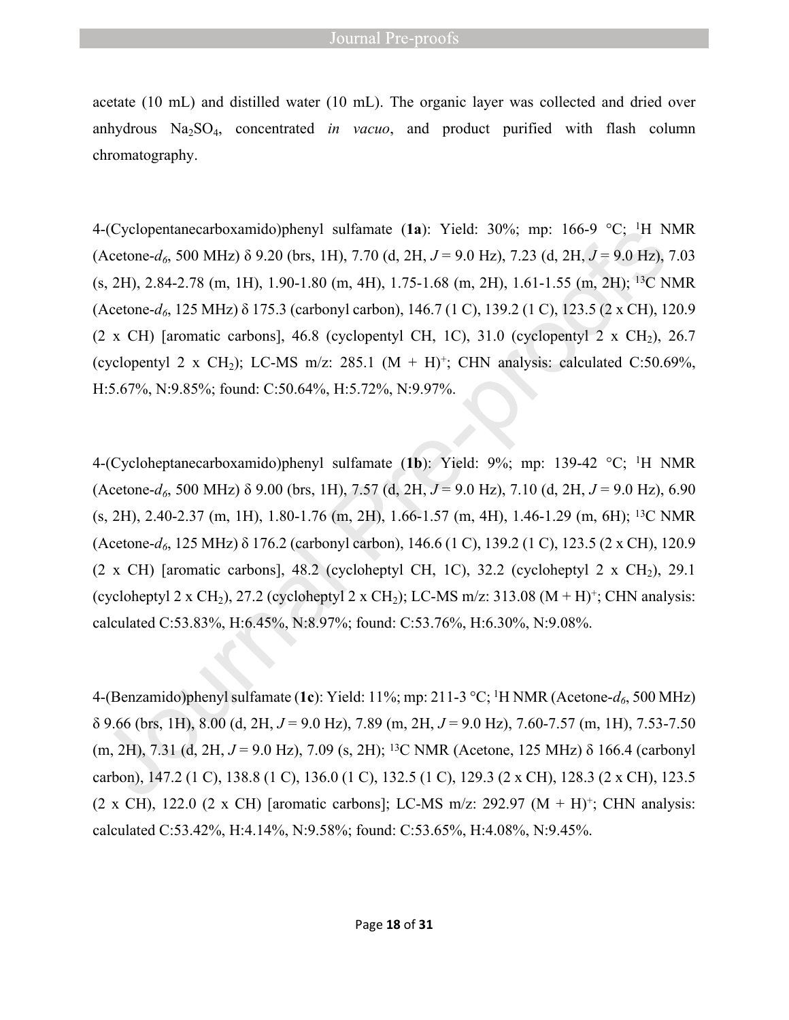acetate (10 mL) and distilled water (10 mL). The organic layer was collected and dried over anhydrous  $Na<sub>2</sub>SO<sub>4</sub>$ , concentrated *in vacuo*, and product purified with flash column chromatography.

4-(Cyclopentanecarboxamido)phenyl sulfamate (**1a**): Yield: 30%; mp: 166-9 °C; <sup>1</sup>H NMR (Acetone-*d6*, 500 MHz) δ 9.20 (brs, 1H), 7.70 (d, 2H, *J* = 9.0 Hz), 7.23 (d, 2H, *J* = 9.0 Hz), 7.03  $(s, 2H)$ , 2.84-2.78 (m, 1H), 1.90-1.80 (m, 4H), 1.75-1.68 (m, 2H), 1.61-1.55 (m, 2H); <sup>13</sup>C NMR (Acetone-*d6*, 125 MHz) δ 175.3 (carbonyl carbon), 146.7 (1 C), 139.2 (1 C), 123.5 (2 x CH), 120.9 (2 x CH) [aromatic carbons], 46.8 (cyclopentyl CH, 1C), 31.0 (cyclopentyl 2 x CH<sub>2</sub>), 26.7 (cyclopentyl 2 x CH<sub>2</sub>); LC-MS m/z: 285.1  $(M + H)^+$ ; CHN analysis: calculated C:50.69%, H:5.67%, N:9.85%; found: C:50.64%, H:5.72%, N:9.97%.

4-(Cycloheptanecarboxamido)phenyl sulfamate (**1b**): Yield: 9%; mp: 139-42 °C; <sup>1</sup>H NMR (Acetone-*d6*, 500 MHz) δ 9.00 (brs, 1H), 7.57 (d, 2H, *J* = 9.0 Hz), 7.10 (d, 2H, *J* = 9.0 Hz), 6.90 (s, 2H), 2.40-2.37 (m, 1H), 1.80-1.76 (m, 2H), 1.66-1.57 (m, 4H), 1.46-1.29 (m, 6H); <sup>13</sup>C NMR (Acetone-*d6*, 125 MHz) δ 176.2 (carbonyl carbon), 146.6 (1 C), 139.2 (1 C), 123.5 (2 x CH), 120.9 (2 x CH) [aromatic carbons],  $48.2$  (cycloheptyl CH, 1C),  $32.2$  (cycloheptyl 2 x CH<sub>2</sub>), 29.1 (cycloheptyl 2 x CH<sub>2</sub>), 27.2 (cycloheptyl 2 x CH<sub>2</sub>); LC-MS m/z: 313.08 (M + H)<sup>+</sup>; CHN analysis: calculated C:53.83%, H:6.45%, N:8.97%; found: C:53.76%, H:6.30%, N:9.08%.

4-(Benzamido)phenyl sulfamate (**1c**): Yield: 11%; mp: 211-3 °C; <sup>1</sup>H NMR (Acetone-*d6*, 500 MHz) δ 9.66 (brs, 1H), 8.00 (d, 2H, *J* = 9.0 Hz), 7.89 (m, 2H, *J* = 9.0 Hz), 7.60-7.57 (m, 1H), 7.53-7.50 (m, 2H), 7.31 (d, 2H, *J* = 9.0 Hz), 7.09 (s, 2H); <sup>13</sup>C NMR (Acetone, 125 MHz) δ 166.4 (carbonyl carbon), 147.2 (1 C), 138.8 (1 C), 136.0 (1 C), 132.5 (1 C), 129.3 (2 x CH), 128.3 (2 x CH), 123.5  $(2 \times CH)$ , 122.0  $(2 \times CH)$  [aromatic carbons]; LC-MS m/z: 292.97  $(M + H)^{+}$ ; CHN analysis: calculated C:53.42%, H:4.14%, N:9.58%; found: C:53.65%, H:4.08%, N:9.45%.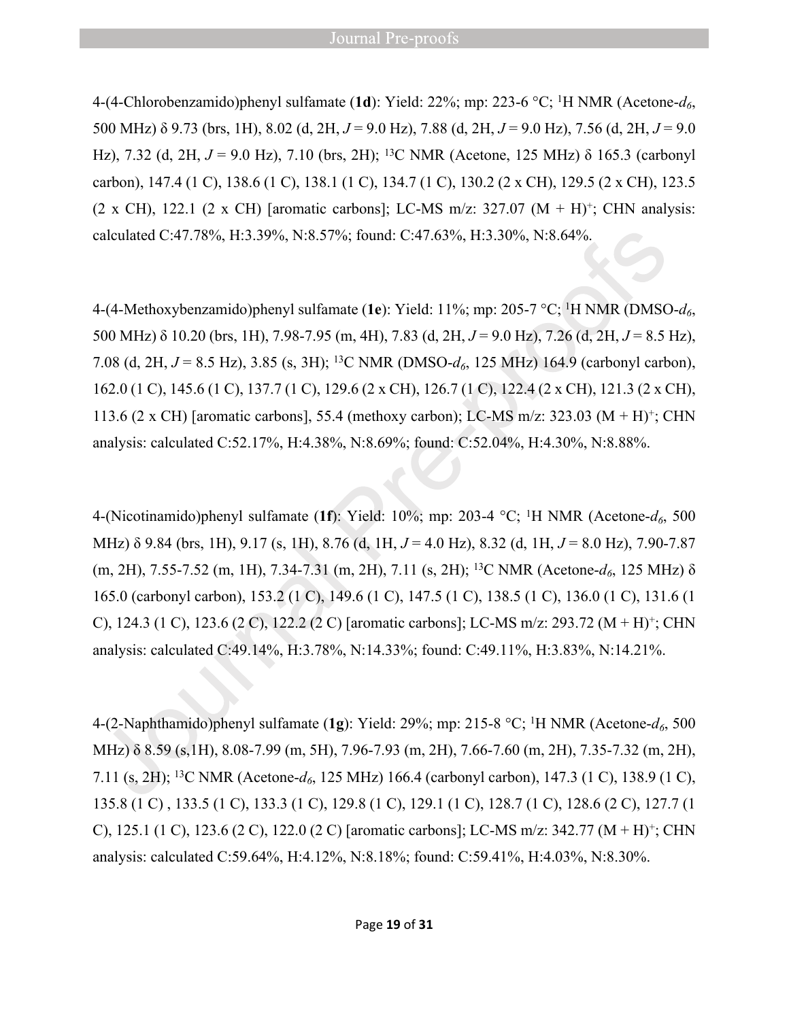4-(4-Chlorobenzamido)phenyl sulfamate (**1d**): Yield: 22%; mp: 223-6 °C; <sup>1</sup>H NMR (Acetone-*d6*, 500 MHz) δ 9.73 (brs, 1H), 8.02 (d, 2H, *J* = 9.0 Hz), 7.88 (d, 2H, *J* = 9.0 Hz), 7.56 (d, 2H, *J* = 9.0 Hz), 7.32 (d, 2H, *J* = 9.0 Hz), 7.10 (brs, 2H); <sup>13</sup>C NMR (Acetone, 125 MHz) δ 165.3 (carbonyl carbon), 147.4 (1 C), 138.6 (1 C), 138.1 (1 C), 134.7 (1 C), 130.2 (2 x CH), 129.5 (2 x CH), 123.5  $(2 \times CH)$ , 122.1  $(2 \times CH)$  [aromatic carbons]; LC-MS m/z: 327.07  $(M + H)^{+}$ ; CHN analysis: calculated C:47.78%, H:3.39%, N:8.57%; found: C:47.63%, H:3.30%, N:8.64%.

4-(4-Methoxybenzamido)phenyl sulfamate (**1e**): Yield: 11%; mp: 205-7 °C; <sup>1</sup>H NMR (DMSO-*d6*, 500 MHz) δ 10.20 (brs, 1H), 7.98-7.95 (m, 4H), 7.83 (d, 2H, *J* = 9.0 Hz), 7.26 (d, 2H, *J* = 8.5 Hz), 7.08 (d, 2H, *J* = 8.5 Hz), 3.85 (s, 3H); <sup>13</sup>C NMR (DMSO-*d6*, 125 MHz) 164.9 (carbonyl carbon), 162.0 (1 C), 145.6 (1 C), 137.7 (1 C), 129.6 (2 x CH), 126.7 (1 C), 122.4 (2 x CH), 121.3 (2 x CH), 113.6 (2 x CH) [aromatic carbons], 55.4 (methoxy carbon); LC-MS m/z: 323.03 (M + H)<sup>+</sup> ; CHN analysis: calculated C:52.17%, H:4.38%, N:8.69%; found: C:52.04%, H:4.30%, N:8.88%.

4-(Nicotinamido)phenyl sulfamate (**1f**): Yield: 10%; mp: 203-4 °C; <sup>1</sup>H NMR (Acetone-*d6*, 500 MHz) δ 9.84 (brs, 1H), 9.17 (s, 1H), 8.76 (d, 1H, *J* = 4.0 Hz), 8.32 (d, 1H, *J* = 8.0 Hz), 7.90-7.87 (m, 2H), 7.55-7.52 (m, 1H), 7.34-7.31 (m, 2H), 7.11 (s, 2H); <sup>13</sup>C NMR (Acetone-*d6*, 125 MHz) δ 165.0 (carbonyl carbon), 153.2 (1 C), 149.6 (1 C), 147.5 (1 C), 138.5 (1 C), 136.0 (1 C), 131.6 (1 C), 124.3 (1 C), 123.6 (2 C), 122.2 (2 C) [aromatic carbons]; LC-MS m/z: 293.72 (M + H)<sup>+</sup>; CHN analysis: calculated C:49.14%, H:3.78%, N:14.33%; found: C:49.11%, H:3.83%, N:14.21%.

4-(2-Naphthamido)phenyl sulfamate (**1g**): Yield: 29%; mp: 215-8 °C; <sup>1</sup>H NMR (Acetone-*d6*, 500 MHz) δ 8.59 (s,1H), 8.08-7.99 (m, 5H), 7.96-7.93 (m, 2H), 7.66-7.60 (m, 2H), 7.35-7.32 (m, 2H), 7.11 (s, 2H); <sup>13</sup>C NMR (Acetone-*d6*, 125 MHz) 166.4 (carbonyl carbon), 147.3 (1 C), 138.9 (1 C), 135.8 (1 C) , 133.5 (1 C), 133.3 (1 C), 129.8 (1 C), 129.1 (1 C), 128.7 (1 C), 128.6 (2 C), 127.7 (1 C), 125.1 (1 C), 123.6 (2 C), 122.0 (2 C) [aromatic carbons]; LC-MS m/z: 342.77 (M + H)<sup>+</sup>; CHN analysis: calculated C:59.64%, H:4.12%, N:8.18%; found: C:59.41%, H:4.03%, N:8.30%.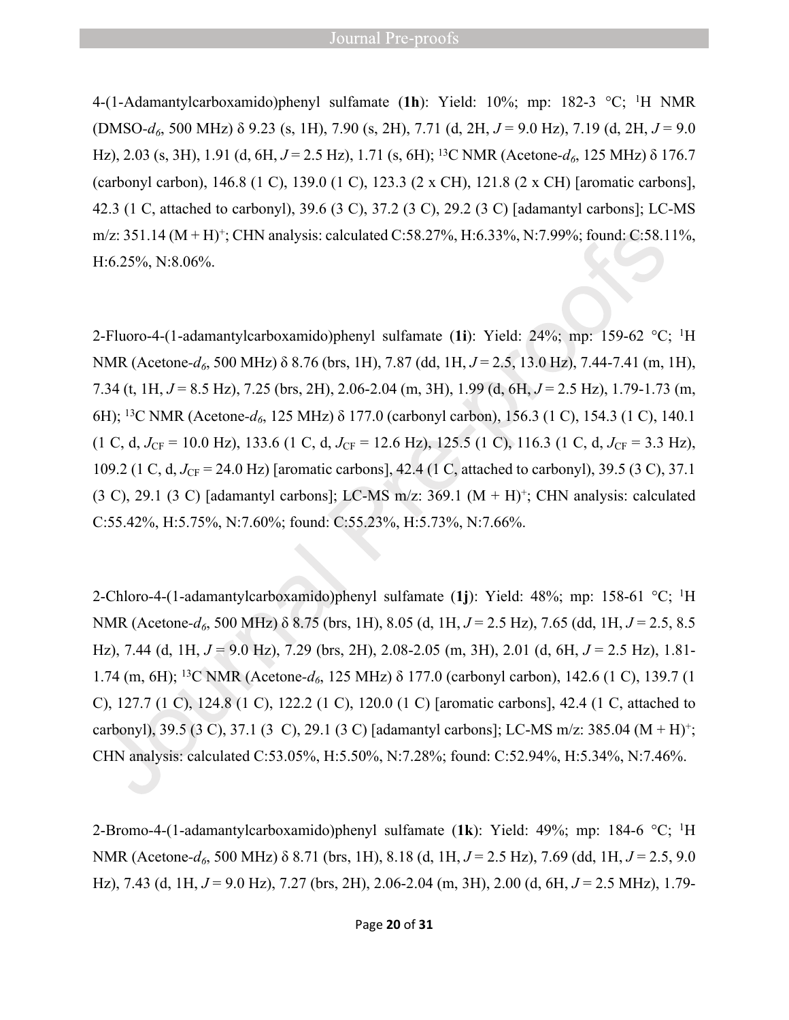#### **Journal Pre-proofs**

4-(1-Adamantylcarboxamido)phenyl sulfamate (**1h**): Yield: 10%; mp: 182-3 °C; <sup>1</sup>H NMR (DMSO*-d6*, 500 MHz) δ 9.23 (s, 1H), 7.90 (s, 2H), 7.71 (d, 2H, *J* = 9.0 Hz), 7.19 (d, 2H, *J* = 9.0 Hz), 2.03 (s, 3H), 1.91 (d, 6H, *J* = 2.5 Hz), 1.71 (s, 6H); <sup>13</sup>C NMR (Acetone*-d6*, 125 MHz) δ 176.7 (carbonyl carbon), 146.8 (1 C), 139.0 (1 C), 123.3 (2 x CH), 121.8 (2 x CH) [aromatic carbons], 42.3 (1 C, attached to carbonyl), 39.6 (3 C), 37.2 (3 C), 29.2 (3 C) [adamantyl carbons]; LC-MS m/z: 351.14 (M + H)<sup>+</sup>; CHN analysis: calculated C:58.27%, H:6.33%, N:7.99%; found: C:58.11%, H:6.25%, N:8.06%.

2-Fluoro-4-(1-adamantylcarboxamido)phenyl sulfamate (**1i**): Yield: 24%; mp: 159-62 °C; <sup>1</sup>H NMR (Acetone*-d6*, 500 MHz) δ 8.76 (brs, 1H), 7.87 (dd, 1H, *J* = 2.5, 13.0 Hz), 7.44-7.41 (m, 1H), 7.34 (t, 1H, *J* = 8.5 Hz), 7.25 (brs, 2H), 2.06-2.04 (m, 3H), 1.99 (d, 6H, *J* = 2.5 Hz), 1.79-1.73 (m, 6H); <sup>13</sup>C NMR (Acetone*-d6*, 125 MHz) δ 177.0 (carbonyl carbon), 156.3 (1 C), 154.3 (1 C), 140.1  $(1 \text{ C}, \text{ d}, J_{\text{CF}} = 10.0 \text{ Hz})$ , 133.6 (1 C, d,  $J_{\text{CF}} = 12.6 \text{ Hz}$ ), 125.5 (1 C), 116.3 (1 C, d,  $J_{\text{CF}} = 3.3 \text{ Hz}$ ), 109.2 (1 C, d, *J*<sub>CF</sub> = 24.0 Hz) [aromatic carbons], 42.4 (1 C, attached to carbonyl), 39.5 (3 C), 37.1  $(3 \text{ C}), 29.1 \text{ (3 C)}$  [adamantyl carbons]; LC-MS m/z:  $369.1 \text{ (M + H)}^+$ ; CHN analysis: calculated C:55.42%, H:5.75%, N:7.60%; found: C:55.23%, H:5.73%, N:7.66%.

2-Chloro-4-(1-adamantylcarboxamido)phenyl sulfamate (**1j**): Yield: 48%; mp: 158-61 °C; <sup>1</sup>H NMR (Acetone*-d6*, 500 MHz) δ 8.75 (brs, 1H), 8.05 (d, 1H, *J* = 2.5 Hz), 7.65 (dd, 1H, *J* = 2.5, 8.5 Hz), 7.44 (d, 1H, *J* = 9.0 Hz), 7.29 (brs, 2H), 2.08-2.05 (m, 3H), 2.01 (d, 6H, *J* = 2.5 Hz), 1.81- 1.74 (m, 6H); <sup>13</sup>C NMR (Acetone*-d6*, 125 MHz) δ 177.0 (carbonyl carbon), 142.6 (1 C), 139.7 (1 C), 127.7 (1 C), 124.8 (1 C), 122.2 (1 C), 120.0 (1 C) [aromatic carbons], 42.4 (1 C, attached to carbonyl), 39.5 (3 C), 37.1 (3 C), 29.1 (3 C) [adamantyl carbons]; LC-MS m/z: 385.04 (M + H)<sup>+</sup> ; CHN analysis: calculated C:53.05%, H:5.50%, N:7.28%; found: C:52.94%, H:5.34%, N:7.46%.

2-Bromo-4-(1-adamantylcarboxamido)phenyl sulfamate (**1k**): Yield: 49%; mp: 184-6 °C; <sup>1</sup>H NMR (Acetone*-d6*, 500 MHz) δ 8.71 (brs, 1H), 8.18 (d, 1H, *J* = 2.5 Hz), 7.69 (dd, 1H, *J* = 2.5, 9.0 Hz), 7.43 (d, 1H, *J* = 9.0 Hz), 7.27 (brs, 2H), 2.06-2.04 (m, 3H), 2.00 (d, 6H, *J* = 2.5 MHz), 1.79-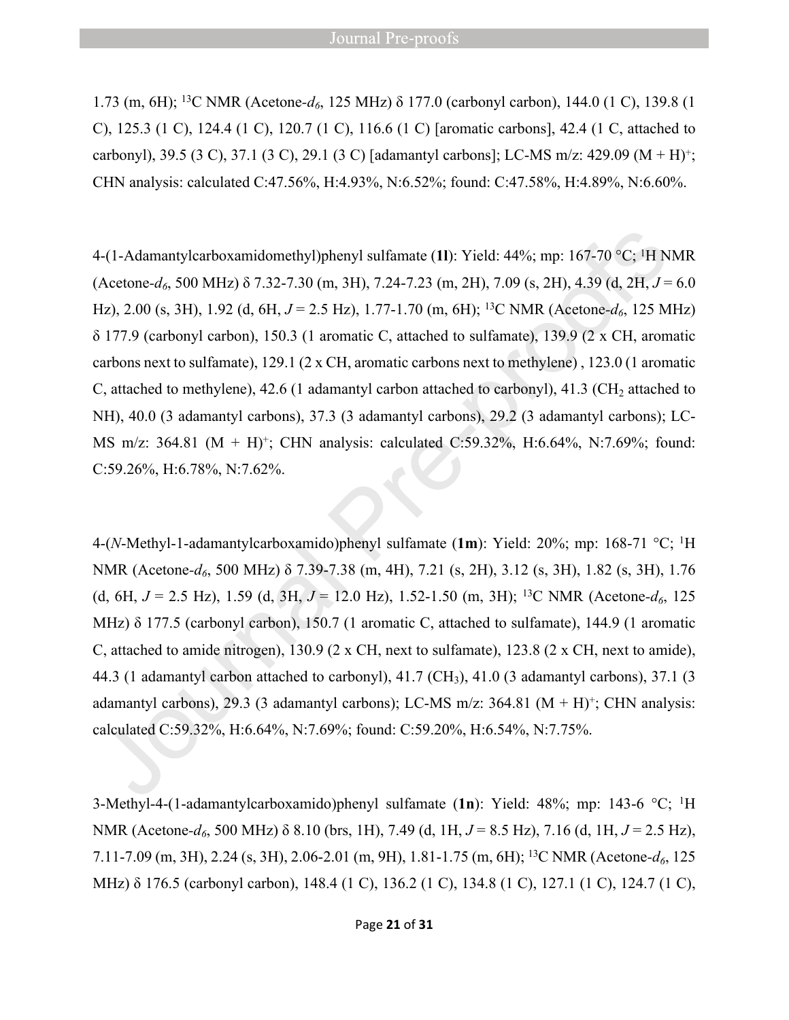1.73 (m, 6H); <sup>13</sup>C NMR (Acetone*-d6*, 125 MHz) δ 177.0 (carbonyl carbon), 144.0 (1 C), 139.8 (1 C), 125.3 (1 C), 124.4 (1 C), 120.7 (1 C), 116.6 (1 C) [aromatic carbons], 42.4 (1 C, attached to carbonyl), 39.5 (3 C), 37.1 (3 C), 29.1 (3 C) [adamantyl carbons]; LC-MS m/z: 429.09 (M + H)<sup>+</sup> ; CHN analysis: calculated C:47.56%, H:4.93%, N:6.52%; found: C:47.58%, H:4.89%, N:6.60%.

4-(1-Adamantylcarboxamidomethyl)phenyl sulfamate (**1l**): Yield: 44%; mp: 167-70 °C; <sup>1</sup>H NMR (Acetone*-d6*, 500 MHz) δ 7.32-7.30 (m, 3H), 7.24-7.23 (m, 2H), 7.09 (s, 2H), 4.39 (d, 2H, *J* = 6.0 Hz), 2.00 (s, 3H), 1.92 (d, 6H, *J* = 2.5 Hz), 1.77-1.70 (m, 6H); <sup>13</sup>C NMR (Acetone*-d6*, 125 MHz) δ 177.9 (carbonyl carbon), 150.3 (1 aromatic C, attached to sulfamate), 139.9 (2 x CH, aromatic carbons next to sulfamate), 129.1 (2 x CH, aromatic carbons next to methylene) , 123.0 (1 aromatic C, attached to methylene), 42.6 (1 adamantyl carbon attached to carbonyl), 41.3 (CH<sub>2</sub> attached to NH), 40.0 (3 adamantyl carbons), 37.3 (3 adamantyl carbons), 29.2 (3 adamantyl carbons); LC-MS m/z: 364.81 (M + H)<sup>+</sup>; CHN analysis: calculated C:59.32%, H:6.64%, N:7.69%; found: C:59.26%, H:6.78%, N:7.62%.

4-(*N*-Methyl-1-adamantylcarboxamido)phenyl sulfamate (**1m**): Yield: 20%; mp: 168-71 °C; <sup>1</sup>H NMR (Acetone*-d6*, 500 MHz) δ 7.39-7.38 (m, 4H), 7.21 (s, 2H), 3.12 (s, 3H), 1.82 (s, 3H), 1.76 (d, 6H,  $J = 2.5$  Hz), 1.59 (d, 3H,  $J = 12.0$  Hz), 1.52-1.50 (m, 3H); <sup>13</sup>C NMR (Acetone- $d_6$ , 125 MHz) δ 177.5 (carbonyl carbon), 150.7 (1 aromatic C, attached to sulfamate), 144.9 (1 aromatic C, attached to amide nitrogen), 130.9 (2 x CH, next to sulfamate), 123.8 (2 x CH, next to amide), 44.3 (1 adamantyl carbon attached to carbonyl), 41.7 (CH3), 41.0 (3 adamantyl carbons), 37.1 (3 adamantyl carbons), 29.3 (3 adamantyl carbons); LC-MS m/z: 364.81  $(M + H)^{+}$ ; CHN analysis: calculated C:59.32%, H:6.64%, N:7.69%; found: C:59.20%, H:6.54%, N:7.75%.

3-Methyl-4-(1-adamantylcarboxamido)phenyl sulfamate (**1n**): Yield: 48%; mp: 143-6 °C; <sup>1</sup>H NMR (Acetone*-d6*, 500 MHz) δ 8.10 (brs, 1H), 7.49 (d, 1H, *J* = 8.5 Hz), 7.16 (d, 1H, *J* = 2.5 Hz), 7.11-7.09 (m, 3H), 2.24 (s, 3H), 2.06-2.01 (m, 9H), 1.81-1.75 (m, 6H); <sup>13</sup>C NMR (Acetone*-d6*, 125 MHz) δ 176.5 (carbonyl carbon), 148.4 (1 C), 136.2 (1 C), 134.8 (1 C), 127.1 (1 C), 124.7 (1 C),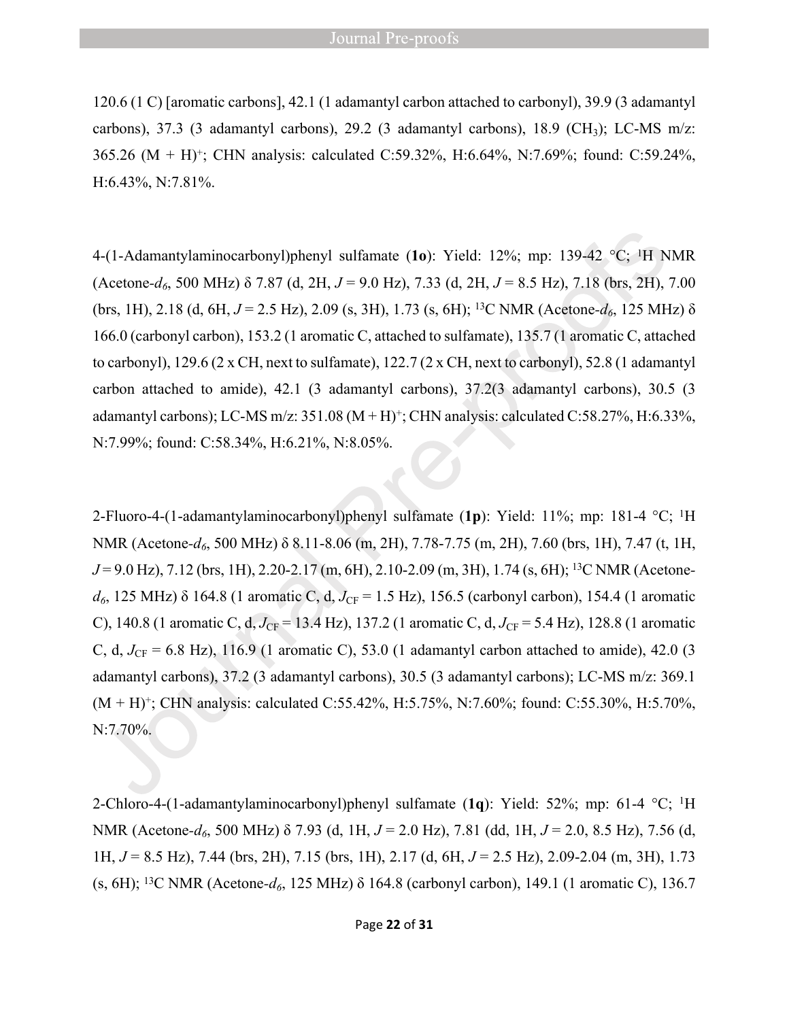120.6 (1 C) [aromatic carbons], 42.1 (1 adamantyl carbon attached to carbonyl), 39.9 (3 adamantyl carbons), 37.3 (3 adamantyl carbons), 29.2 (3 adamantyl carbons), 18.9 (CH<sub>3</sub>); LC-MS m/z: 365.26 (M + H)<sup>+</sup> ; CHN analysis: calculated C:59.32%, H:6.64%, N:7.69%; found: C:59.24%, H:6.43%, N:7.81%.

4-(1-Adamantylaminocarbonyl)phenyl sulfamate (**1o**): Yield: 12%; mp: 139-42 °C; <sup>1</sup>H NMR (Acetone*-d6*, 500 MHz) δ 7.87 (d, 2H, *J* = 9.0 Hz), 7.33 (d, 2H, *J* = 8.5 Hz), 7.18 (brs, 2H), 7.00 (brs, 1H), 2.18 (d, 6H, *J* = 2.5 Hz), 2.09 (s, 3H), 1.73 (s, 6H); <sup>13</sup>C NMR (Acetone*-d6*, 125 MHz) δ 166.0 (carbonyl carbon), 153.2 (1 aromatic C, attached to sulfamate), 135.7 (1 aromatic C, attached to carbonyl), 129.6 (2 x CH, next to sulfamate), 122.7 (2 x CH, next to carbonyl), 52.8 (1 adamantyl carbon attached to amide), 42.1 (3 adamantyl carbons), 37.2(3 adamantyl carbons), 30.5 (3 adamantyl carbons); LC-MS m/z:  $351.08 (M + H)^{+}$ ; CHN analysis: calculated C:58.27%, H:6.33%, N:7.99%; found: C:58.34%, H:6.21%, N:8.05%.

2-Fluoro-4-(1-adamantylaminocarbonyl)phenyl sulfamate (**1p**): Yield: 11%; mp: 181-4 °C; <sup>1</sup>H NMR (Acetone*-d6*, 500 MHz) δ 8.11-8.06 (m, 2H), 7.78-7.75 (m, 2H), 7.60 (brs, 1H), 7.47 (t, 1H, *J* = 9.0 Hz), 7.12 (brs, 1H), 2.20-2.17 (m, 6H), 2.10-2.09 (m, 3H), 1.74 (s, 6H); 13C NMR (Acetone $d_6$ , 125 MHz)  $\delta$  164.8 (1 aromatic C, d,  $J_{CF}$  = 1.5 Hz), 156.5 (carbonyl carbon), 154.4 (1 aromatic C), 140.8 (1 aromatic C, d,  $J_{CF}$  = 13.4 Hz), 137.2 (1 aromatic C, d,  $J_{CF}$  = 5.4 Hz), 128.8 (1 aromatic C, d,  $J_{CF} = 6.8$  Hz), 116.9 (1 aromatic C), 53.0 (1 adamantyl carbon attached to amide), 42.0 (3 adamantyl carbons), 37.2 (3 adamantyl carbons), 30.5 (3 adamantyl carbons); LC-MS m/z: 369.1 (M + H)<sup>+</sup>; CHN analysis: calculated C:55.42%, H:5.75%, N:7.60%; found: C:55.30%, H:5.70%, N:7.70%.

2-Chloro-4-(1-adamantylaminocarbonyl)phenyl sulfamate (**1q**): Yield: 52%; mp: 61-4 °C; <sup>1</sup>H NMR (Acetone*-d6*, 500 MHz) δ 7.93 (d, 1H, *J* = 2.0 Hz), 7.81 (dd, 1H, *J* = 2.0, 8.5 Hz), 7.56 (d, 1H, *J* = 8.5 Hz), 7.44 (brs, 2H), 7.15 (brs, 1H), 2.17 (d, 6H, *J* = 2.5 Hz), 2.09-2.04 (m, 3H), 1.73 (s, 6H); <sup>13</sup>C NMR (Acetone*-d6*, 125 MHz) δ 164.8 (carbonyl carbon), 149.1 (1 aromatic C), 136.7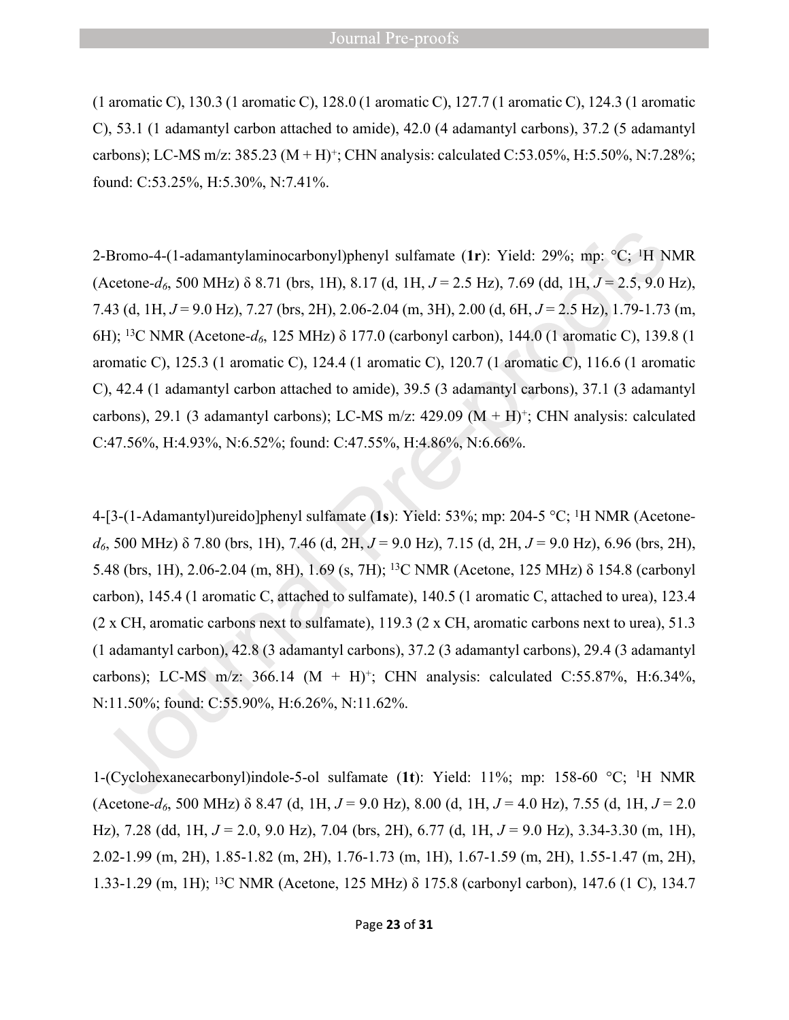(1 aromatic C), 130.3 (1 aromatic C), 128.0 (1 aromatic C), 127.7 (1 aromatic C), 124.3 (1 aromatic C), 53.1 (1 adamantyl carbon attached to amide), 42.0 (4 adamantyl carbons), 37.2 (5 adamantyl carbons); LC-MS m/z: 385.23 (M + H)<sup>+</sup>; CHN analysis: calculated C:53.05%, H:5.50%, N:7.28%; found: C:53.25%, H:5.30%, N:7.41%.

2-Bromo-4-(1-adamantylaminocarbonyl)phenyl sulfamate (**1r**): Yield: 29%; mp: °C; <sup>1</sup>H NMR (Acetone*-d6*, 500 MHz) δ 8.71 (brs, 1H), 8.17 (d, 1H, *J* = 2.5 Hz), 7.69 (dd, 1H, *J* = 2.5, 9.0 Hz), 7.43 (d, 1H, *J* = 9.0 Hz), 7.27 (brs, 2H), 2.06-2.04 (m, 3H), 2.00 (d, 6H, *J* = 2.5 Hz), 1.79-1.73 (m, 6H); <sup>13</sup>C NMR (Acetone*-d6*, 125 MHz) δ 177.0 (carbonyl carbon), 144.0 (1 aromatic C), 139.8 (1 aromatic C), 125.3 (1 aromatic C), 124.4 (1 aromatic C), 120.7 (1 aromatic C), 116.6 (1 aromatic C), 42.4 (1 adamantyl carbon attached to amide), 39.5 (3 adamantyl carbons), 37.1 (3 adamantyl carbons), 29.1 (3 adamantyl carbons); LC-MS m/z: 429.09  $(M + H)^+$ ; CHN analysis: calculated C:47.56%, H:4.93%, N:6.52%; found: C:47.55%, H:4.86%, N:6.66%.

4-[3-(1-Adamantyl)ureido]phenyl sulfamate (**1s**): Yield: 53%; mp: 204-5 °C; 1H NMR (Acetone*d6*, 500 MHz) δ 7.80 (brs, 1H), 7.46 (d, 2H, *J* = 9.0 Hz), 7.15 (d, 2H, *J* = 9.0 Hz), 6.96 (brs, 2H), 5.48 (brs, 1H), 2.06-2.04 (m, 8H), 1.69 (s, 7H); <sup>13</sup>C NMR (Acetone, 125 MHz) δ 154.8 (carbonyl carbon), 145.4 (1 aromatic C, attached to sulfamate), 140.5 (1 aromatic C, attached to urea), 123.4 (2 x CH, aromatic carbons next to sulfamate), 119.3 (2 x CH, aromatic carbons next to urea), 51.3 (1 adamantyl carbon), 42.8 (3 adamantyl carbons), 37.2 (3 adamantyl carbons), 29.4 (3 adamantyl carbons); LC-MS m/z: 366.14  $(M + H)^+$ ; CHN analysis: calculated C:55.87%, H:6.34%, N:11.50%; found: C:55.90%, H:6.26%, N:11.62%.

1-(Cyclohexanecarbonyl)indole-5-ol sulfamate (**1t**): Yield: 11%; mp: 158-60 °C; <sup>1</sup>H NMR (Acetone*-d6*, 500 MHz) δ 8.47 (d, 1H, *J* = 9.0 Hz), 8.00 (d, 1H, *J* = 4.0 Hz), 7.55 (d, 1H, *J* = 2.0 Hz), 7.28 (dd, 1H, *J* = 2.0, 9.0 Hz), 7.04 (brs, 2H), 6.77 (d, 1H, *J* = 9.0 Hz), 3.34-3.30 (m, 1H), 2.02-1.99 (m, 2H), 1.85-1.82 (m, 2H), 1.76-1.73 (m, 1H), 1.67-1.59 (m, 2H), 1.55-1.47 (m, 2H), 1.33-1.29 (m, 1H); 13C NMR (Acetone, 125 MHz) δ 175.8 (carbonyl carbon), 147.6 (1 C), 134.7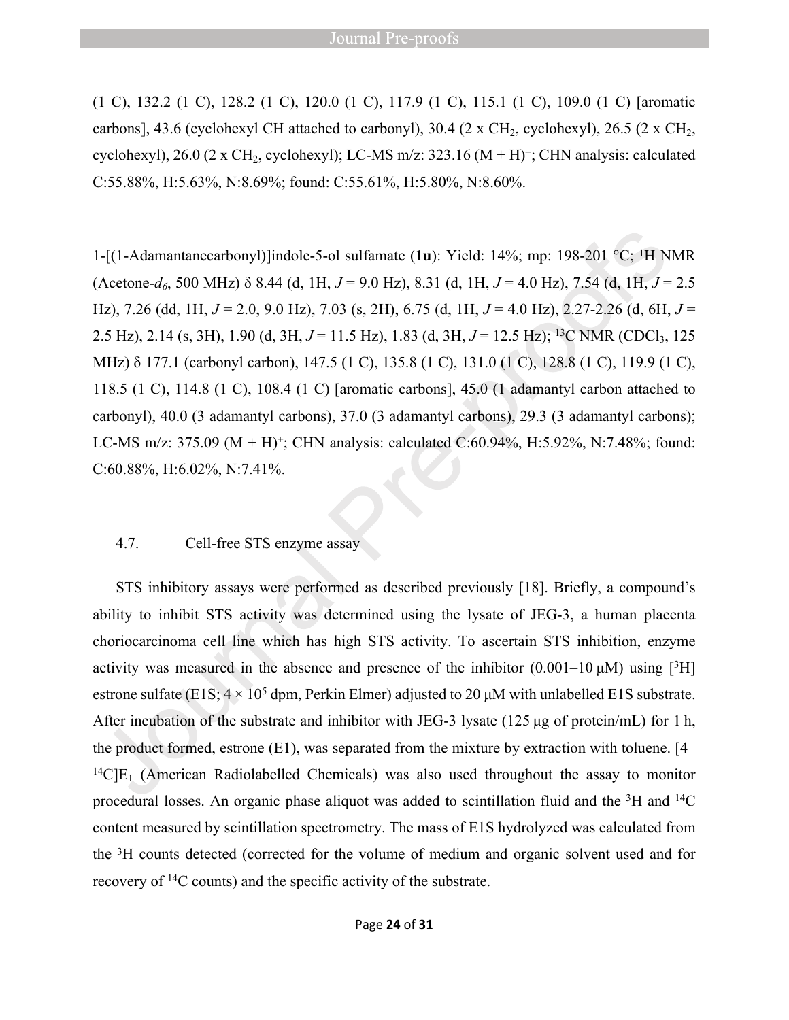(1 C), 132.2 (1 C), 128.2 (1 C), 120.0 (1 C), 117.9 (1 C), 115.1 (1 C), 109.0 (1 C) [aromatic carbons], 43.6 (cyclohexyl CH attached to carbonyl), 30.4 (2 x CH<sub>2</sub>, cyclohexyl), 26.5 (2 x CH<sub>2</sub>, cyclohexyl), 26.0 (2 x CH<sub>2</sub>, cyclohexyl); LC-MS m/z: 323.16 ( $M + H$ )<sup>+</sup>; CHN analysis: calculated C:55.88%, H:5.63%, N:8.69%; found: C:55.61%, H:5.80%, N:8.60%.

1-[(1-Adamantanecarbonyl)]indole-5-ol sulfamate (**1u**): Yield: 14%; mp: 198-201 °C; <sup>1</sup>H NMR (Acetone*-d6*, 500 MHz) δ 8.44 (d, 1H, *J* = 9.0 Hz), 8.31 (d, 1H, *J* = 4.0 Hz), 7.54 (d, 1H, *J* = 2.5 Hz), 7.26 (dd, 1H, *J* = 2.0, 9.0 Hz), 7.03 (s, 2H), 6.75 (d, 1H, *J* = 4.0 Hz), 2.27-2.26 (d, 6H, *J* = 2.5 Hz), 2.14 (s, 3H), 1.90 (d, 3H,  $J = 11.5$  Hz), 1.83 (d, 3H,  $J = 12.5$  Hz); <sup>13</sup>C NMR (CDCl<sub>3</sub>, 125) MHz) δ 177.1 (carbonyl carbon), 147.5 (1 C), 135.8 (1 C), 131.0 (1 C), 128.8 (1 C), 119.9 (1 C), 118.5 (1 C), 114.8 (1 C), 108.4 (1 C) [aromatic carbons], 45.0 (1 adamantyl carbon attached to carbonyl), 40.0 (3 adamantyl carbons), 37.0 (3 adamantyl carbons), 29.3 (3 adamantyl carbons); LC-MS m/z: 375.09 ( $M + H$ )<sup>+</sup>; CHN analysis: calculated C:60.94%, H:5.92%, N:7.48%; found: C:60.88%, H:6.02%, N:7.41%.

#### 4.7. Cell-free STS enzyme assay

STS inhibitory assays were performed as described previously [18]. Briefly, a compound's ability to inhibit STS activity was determined using the lysate of JEG-3, a human placenta choriocarcinoma cell line which has high STS activity. To ascertain STS inhibition, enzyme activity was measured in the absence and presence of the inhibitor  $(0.001-10 \,\mu\text{M})$  using [<sup>3</sup>H] estrone sulfate (E1S;  $4 \times 10^5$  dpm, Perkin Elmer) adjusted to 20  $\mu$ M with unlabelled E1S substrate. After incubation of the substrate and inhibitor with JEG-3 lysate (125 μg of protein/mL) for 1 h, the product formed, estrone (E1), was separated from the mixture by extraction with toluene. [4–  $^{14}$ C]E<sub>1</sub> (American Radiolabelled Chemicals) was also used throughout the assay to monitor procedural losses. An organic phase aliquot was added to scintillation fluid and the <sup>3</sup>H and <sup>14</sup>C content measured by scintillation spectrometry. The mass of E1S hydrolyzed was calculated from the <sup>3</sup>H counts detected (corrected for the volume of medium and organic solvent used and for recovery of 14C counts) and the specific activity of the substrate.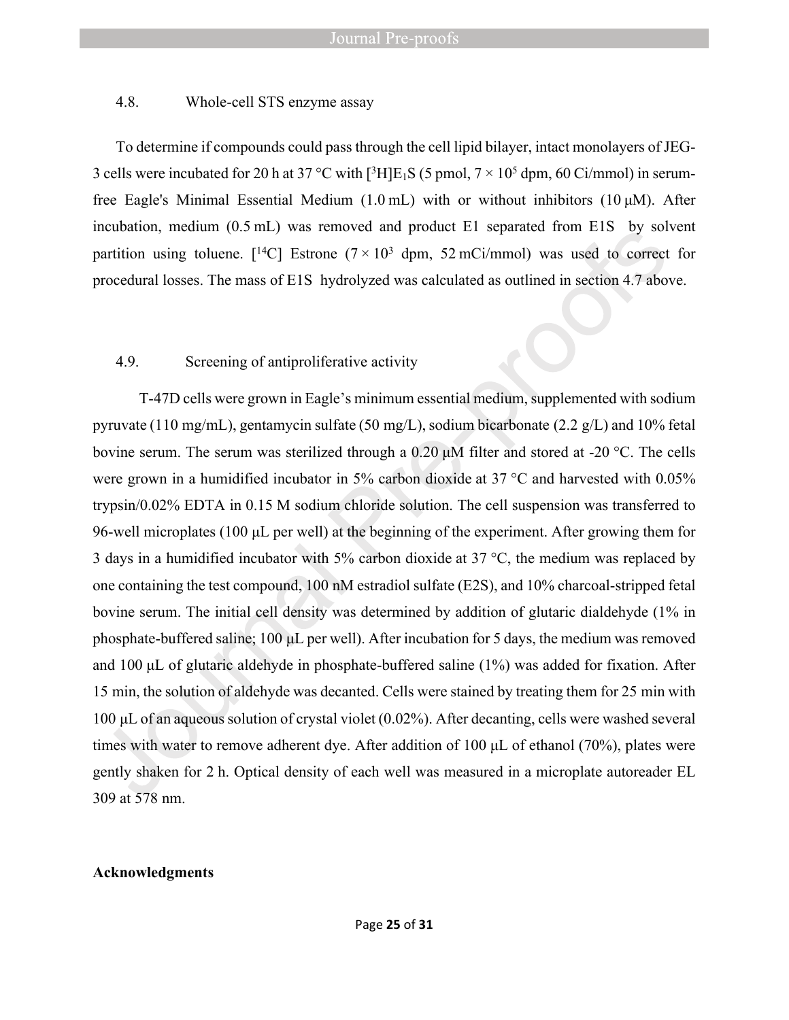#### 4.8. Whole-cell STS enzyme assay

To determine if compounds could pass through the cell lipid bilayer, intact monolayers of JEG-3 cells were incubated for 20 h at 37 °C with  $[3H]E_1S$  (5 pmol,  $7 \times 10^5$  dpm, 60 Ci/mmol) in serumfree Eagle's Minimal Essential Medium (1.0 mL) with or without inhibitors (10 μM). After incubation, medium (0.5 mL) was removed and product E1 separated from E1S by solvent partition using toluene. [<sup>14</sup>C] Estrone ( $7 \times 10^3$  dpm, 52 mCi/mmol) was used to correct for procedural losses. The mass of E1S hydrolyzed was calculated as outlined in section 4.7 above.

#### 4.9. Screening of antiproliferative activity

T-47D cells were grown in Eagle's minimum essential medium, supplemented with sodium pyruvate (110 mg/mL), gentamycin sulfate (50 mg/L), sodium bicarbonate (2.2 g/L) and 10% fetal bovine serum. The serum was sterilized through a 0.20 μM filter and stored at -20 °C. The cells were grown in a humidified incubator in 5% carbon dioxide at 37 °C and harvested with 0.05% trypsin/0.02% EDTA in 0.15 M sodium chloride solution. The cell suspension was transferred to 96-well microplates (100 μL per well) at the beginning of the experiment. After growing them for 3 days in a humidified incubator with 5% carbon dioxide at 37  $\degree$ C, the medium was replaced by one containing the test compound, 100 nM estradiol sulfate (E2S), and 10% charcoal-stripped fetal bovine serum. The initial cell density was determined by addition of glutaric dialdehyde (1% in phosphate-buffered saline; 100 μL per well). After incubation for 5 days, the medium was removed and 100 μL of glutaric aldehyde in phosphate-buffered saline (1%) was added for fixation. After 15 min, the solution of aldehyde was decanted. Cells were stained by treating them for 25 min with 100 μL of an aqueous solution of crystal violet (0.02%). After decanting, cells were washed several times with water to remove adherent dye. After addition of 100 μL of ethanol (70%), plates were gently shaken for 2 h. Optical density of each well was measured in a microplate autoreader EL 309 at 578 nm.

#### **Acknowledgments**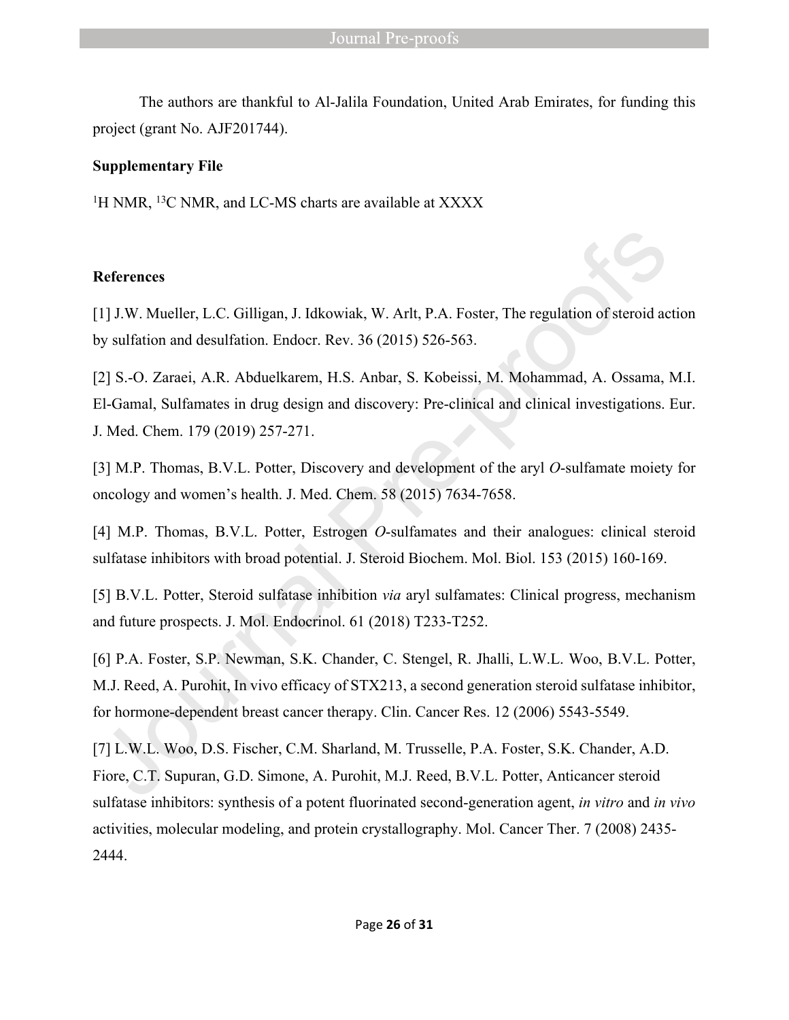The authors are thankful to Al-Jalila Foundation, United Arab Emirates, for funding this project (grant No. AJF201744).

#### **Supplementary File**

<sup>1</sup>H NMR, <sup>13</sup>C NMR, and LC-MS charts are available at XXXX

#### **References**

[1] J.W. Mueller, L.C. Gilligan, J. Idkowiak, W. Arlt, P.A. Foster, The regulation of steroid action by sulfation and desulfation. Endocr. Rev. 36 (2015) 526-563.

[2] S.-O. Zaraei, A.R. Abduelkarem, H.S. Anbar, S. Kobeissi, M. Mohammad, A. Ossama, M.I. El-Gamal, Sulfamates in drug design and discovery: Pre-clinical and clinical investigations. Eur. J. Med. Chem. 179 (2019) 257-271.

[3] M.P. Thomas, B.V.L. Potter, Discovery and development of the aryl *O*-sulfamate moiety for oncology and women's health. J. Med. Chem. 58 (2015) 7634-7658.

[4] M.P. Thomas, B.V.L. Potter, Estrogen *O*-sulfamates and their analogues: clinical steroid sulfatase inhibitors with broad potential. J. Steroid Biochem. Mol. Biol. 153 (2015) 160-169.

[5] B.V.L. Potter, Steroid sulfatase inhibition *via* aryl sulfamates: Clinical progress, mechanism and future prospects. J. Mol. Endocrinol. 61 (2018) T233-T252.

[6] P.A. Foster, S.P. Newman, S.K. Chander, C. Stengel, R. Jhalli, L.W.L. Woo, B.V.L. Potter, M.J. Reed, A. Purohit, In vivo efficacy of STX213, a second generation steroid sulfatase inhibitor, for hormone-dependent breast cancer therapy. Clin. Cancer Res. 12 (2006) 5543-5549.

[7] L.W.L. Woo, D.S. Fischer, C.M. Sharland, M. Trusselle, P.A. Foster, S.K. Chander, A.D. Fiore, C.T. Supuran, G.D. Simone, A. Purohit, M.J. Reed, B.V.L. Potter, Anticancer steroid sulfatase inhibitors: synthesis of a potent fluorinated second-generation agent, *in vitro* and *in vivo*  activities, molecular modeling, and protein crystallography. Mol. Cancer Ther. 7 (2008) 2435- 2444.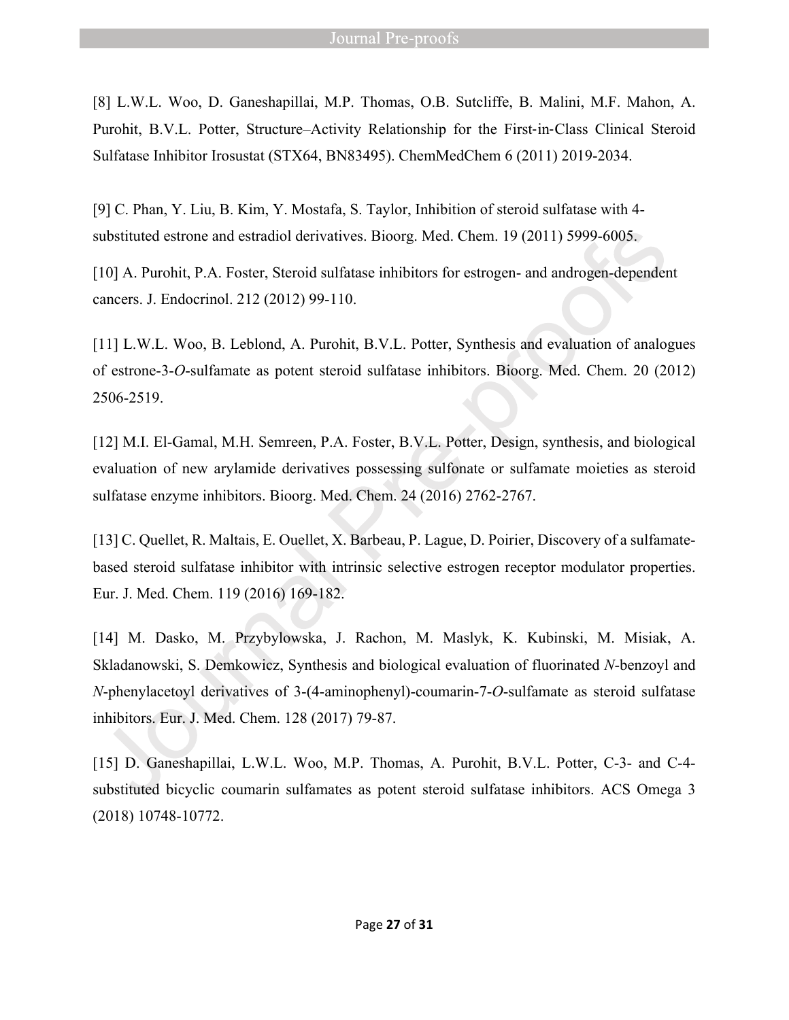[8] L.W.L. Woo, D. Ganeshapillai, M.P. Thomas, O.B. Sutcliffe, B. Malini, M.F. Mahon, A. Purohit, B.V.L. Potter, Structure–Activity Relationship for the First-in-Class Clinical Steroid Sulfatase Inhibitor Irosustat (STX64, BN83495). ChemMedChem 6 (2011) 2019-2034.

[9] C. Phan, Y. Liu, B. Kim, Y. Mostafa, S. Taylor, Inhibition of steroid sulfatase with 4 substituted estrone and estradiol derivatives. Bioorg. Med. Chem. 19 (2011) 5999-6005.

[10] A. Purohit, P.A. Foster, Steroid sulfatase inhibitors for estrogen- and androgen-dependent cancers. J. Endocrinol. 212 (2012) 99-110.

[11] L.W.L. Woo, B. Leblond, A. Purohit, B.V.L. Potter, Synthesis and evaluation of analogues of estrone-3-*O*-sulfamate as potent steroid sulfatase inhibitors. Bioorg. Med. Chem. 20 (2012) 2506-2519.

[12] M.I. El-Gamal, M.H. Semreen, P.A. Foster, B.V.L. Potter, Design, synthesis, and biological evaluation of new arylamide derivatives possessing sulfonate or sulfamate moieties as steroid sulfatase enzyme inhibitors. Bioorg. Med. Chem. 24 (2016) 2762-2767.

[13] C. Quellet, R. Maltais, E. Ouellet, X. Barbeau, P. Lague, D. Poirier, Discovery of a sulfamatebased steroid sulfatase inhibitor with intrinsic selective estrogen receptor modulator properties. Eur. J. Med. Chem. 119 (2016) 169-182.

[14] M. Dasko, M. Przybylowska, J. Rachon, M. Maslyk, K. Kubinski, M. Misiak, A. Skladanowski, S. Demkowicz, Synthesis and biological evaluation of fluorinated *N*-benzoyl and *N*-phenylacetoyl derivatives of 3-(4-aminophenyl)-coumarin-7-*O*-sulfamate as steroid sulfatase inhibitors. Eur. J. Med. Chem. 128 (2017) 79-87.

[15] D. Ganeshapillai, L.W.L. Woo, M.P. Thomas, A. Purohit, B.V.L. Potter, C-3- and C-4 substituted bicyclic coumarin sulfamates as potent steroid sulfatase inhibitors. ACS Omega 3 (2018) 10748-10772.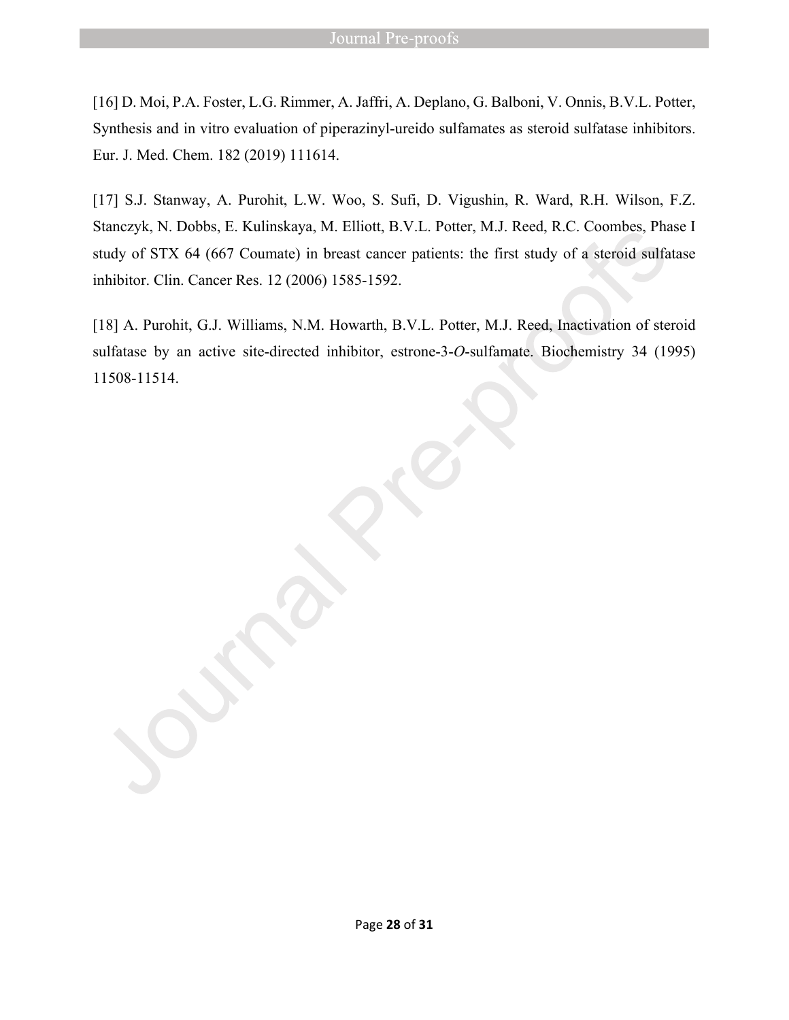[16] D. Moi, P.A. Foster, L.G. Rimmer, A. Jaffri, A. Deplano, G. Balboni, V. Onnis, B.V.L. Potter, Synthesis and in vitro evaluation of piperazinyl-ureido sulfamates as steroid sulfatase inhibitors. Eur. J. Med. Chem. 182 (2019) 111614.

[17] S.J. Stanway, A. Purohit, L.W. Woo, S. Sufi, D. Vigushin, R. Ward, R.H. Wilson, F.Z. Stanczyk, N. Dobbs, E. Kulinskaya, M. Elliott, B.V.L. Potter, M.J. Reed, R.C. Coombes, Phase I study of STX 64 (667 Coumate) in breast cancer patients: the first study of a steroid sulfatase inhibitor. Clin. Cancer Res. 12 (2006) 1585-1592.

[18] A. Purohit, G.J. Williams, N.M. Howarth, B.V.L. Potter, M.J. Reed, Inactivation of steroid sulfatase by an active site-directed inhibitor, estrone-3-*O*-sulfamate. Biochemistry 34 (1995) 11508-11514.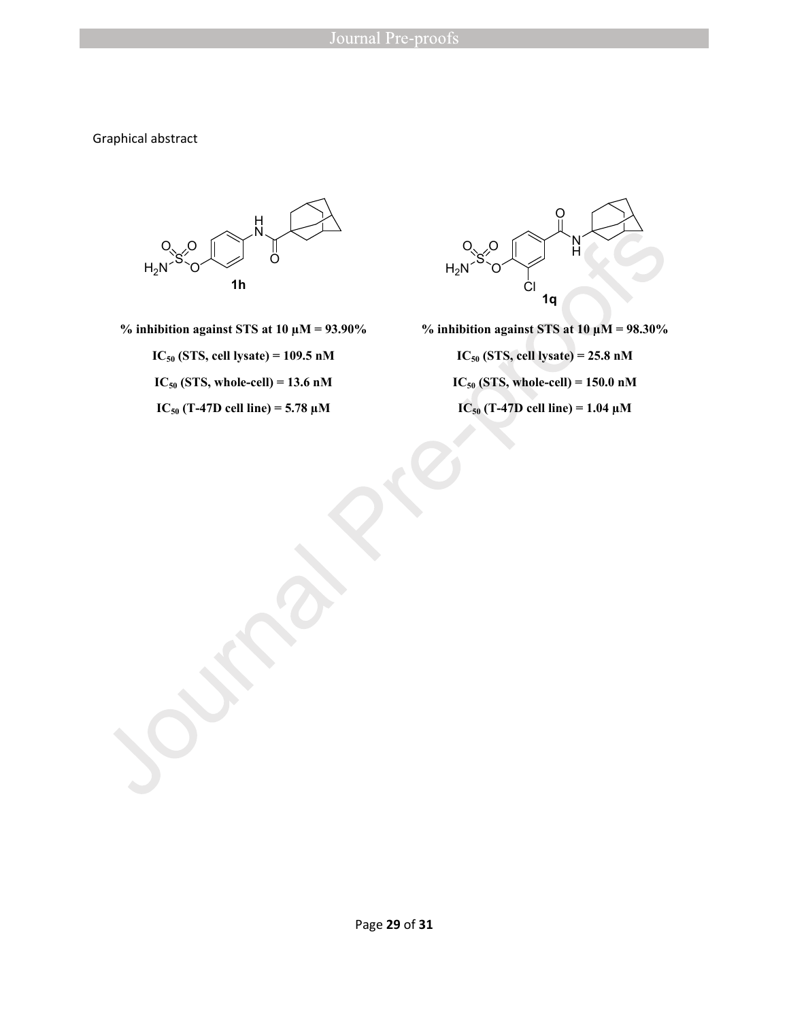Graphical abstract



**% inhibition against STS at 10 µM = 93.90%**

**IC50 (STS, cell lysate) = 109.5 nM**

 $IC_{50}$  (STS, whole-cell) = 13.6 nM

 $IC_{50}$  (T-47D cell line) = 5.78  $\mu$ M



**% inhibition against STS at 10 µM = 98.30% IC50 (STS, cell lysate) = 25.8 nM**  $IC_{50}$  (STS, whole-cell) = 150.0 nM

 $IC_{50}$  (T-47D cell line) = 1.04  $\mu$ M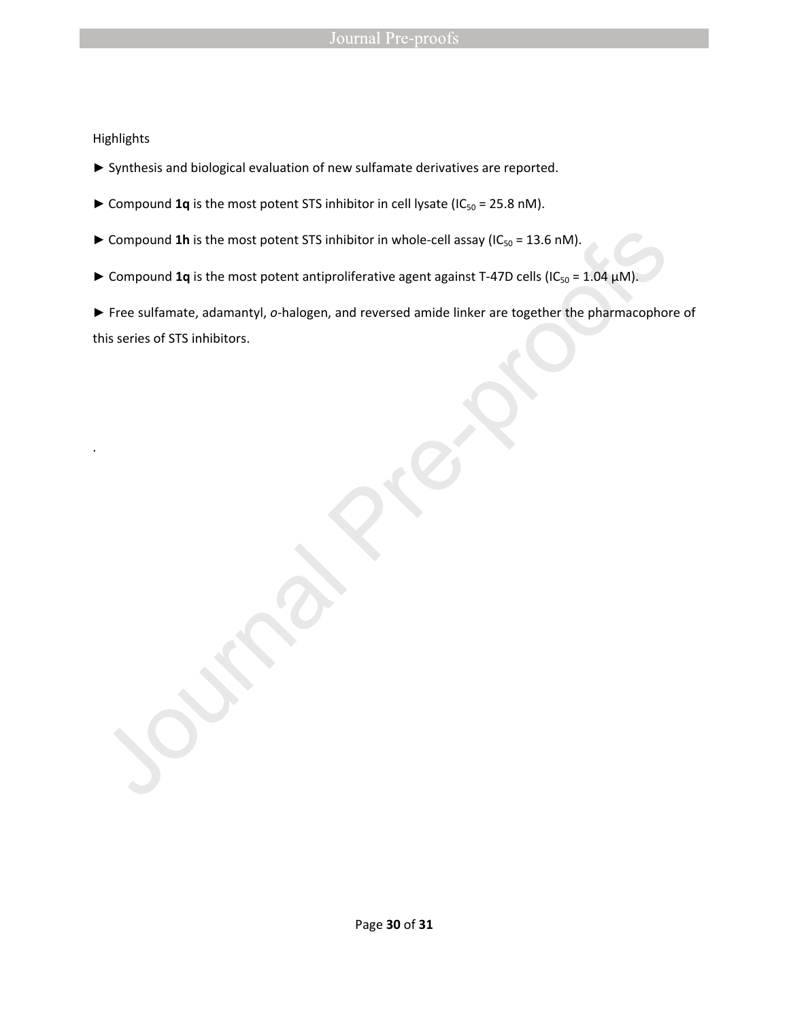#### Highlights

.

- ► Synthesis and biological evaluation of new sulfamate derivatives are reported.
- ► Compound 1q is the most potent STS inhibitor in cell lysate (IC<sub>50</sub> = 25.8 nM).
- ► Compound 1h is the most potent STS inhibitor in whole-cell assay (IC<sub>50</sub> = 13.6 nM).
- ► Compound 1q is the most potent antiproliferative agent against T-47D cells (IC<sub>50</sub> = 1.04 µM).

► Free sulfamate, adamantyl, *o-*halogen, and reversed amide linker are together the pharmacophore of this series of STS inhibitors.

Page **30** of **31**